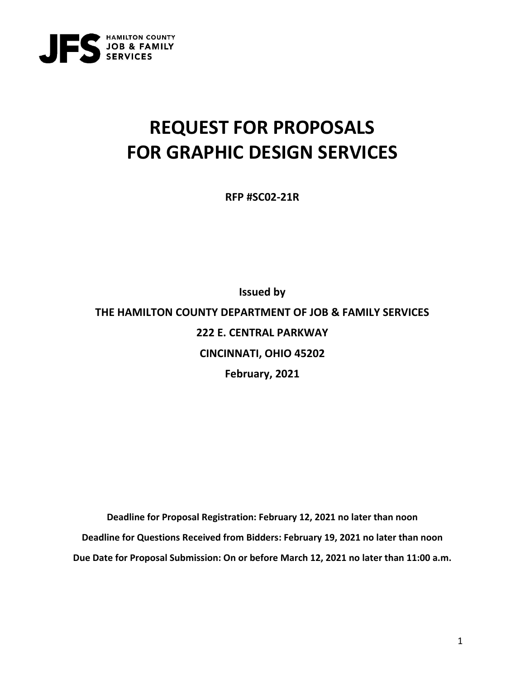

# **REQUEST FOR PROPOSALS FOR GRAPHIC DESIGN SERVICES**

**RFP #SC02-21R**

**Issued by THE HAMILTON COUNTY DEPARTMENT OF JOB & FAMILY SERVICES 222 E. CENTRAL PARKWAY CINCINNATI, OHIO 45202 February, 2021**

**Deadline for Proposal Registration: February 12, 2021 no later than noon Deadline for Questions Received from Bidders: February 19, 2021 no later than noon Due Date for Proposal Submission: On or before March 12, 2021 no later than 11:00 a.m.**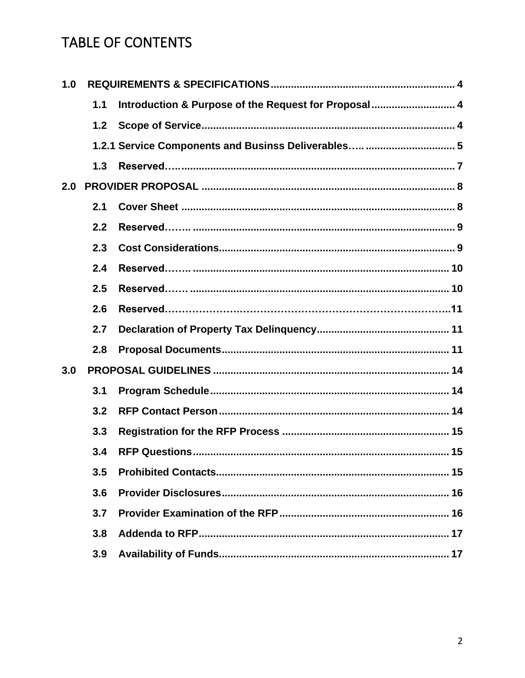# TABLE OF CONTENTS

| 1.0 |     |                                                      |
|-----|-----|------------------------------------------------------|
|     | 1.1 | Introduction & Purpose of the Request for Proposal 4 |
|     | 1.2 |                                                      |
|     |     | 1.2.1 Service Components and Businss Deliverables  5 |
|     | 1.3 |                                                      |
| 2.0 |     |                                                      |
|     | 2.1 |                                                      |
|     | 2.2 |                                                      |
|     | 2.3 |                                                      |
|     | 2.4 |                                                      |
|     | 2.5 |                                                      |
|     | 2.6 |                                                      |
|     | 2.7 |                                                      |
|     | 2.8 |                                                      |
| 3.0 |     |                                                      |
|     | 3.1 |                                                      |
|     | 3.2 |                                                      |
|     | 3.3 |                                                      |
|     | 3.4 |                                                      |
|     | 3.5 |                                                      |
|     | 3.6 |                                                      |
|     | 3.7 |                                                      |
|     | 3.8 |                                                      |
|     | 3.9 |                                                      |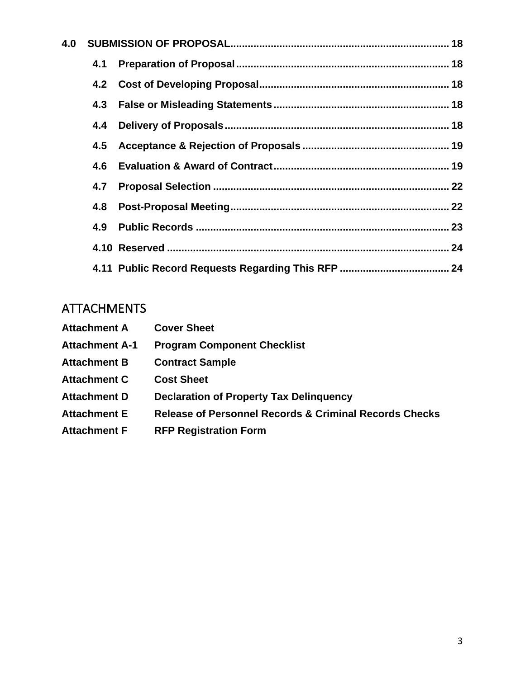| 4.0 |     |  |
|-----|-----|--|
|     | 4.1 |  |
|     |     |  |
|     | 4.3 |  |
|     | 4.4 |  |
|     | 4.5 |  |
|     | 4.6 |  |
|     | 4.7 |  |
|     | 4.8 |  |
|     | 4.9 |  |
|     |     |  |
|     |     |  |

# ATTACHMENTS

| <b>Attachment A</b>   | <b>Cover Sheet</b>                                                |
|-----------------------|-------------------------------------------------------------------|
| <b>Attachment A-1</b> | <b>Program Component Checklist</b>                                |
| <b>Attachment B</b>   | <b>Contract Sample</b>                                            |
| <b>Attachment C</b>   | <b>Cost Sheet</b>                                                 |
| <b>Attachment D</b>   | <b>Declaration of Property Tax Delinguency</b>                    |
| <b>Attachment E</b>   | <b>Release of Personnel Records &amp; Criminal Records Checks</b> |
| <b>Attachment F</b>   | <b>RFP Registration Form</b>                                      |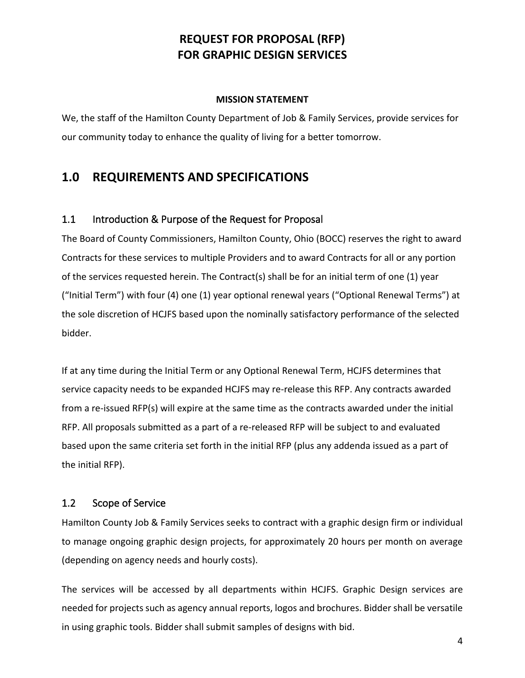# **REQUEST FOR PROPOSAL (RFP) FOR GRAPHIC DESIGN SERVICES**

#### **MISSION STATEMENT**

We, the staff of the Hamilton County Department of Job & Family Services, provide services for our community today to enhance the quality of living for a better tomorrow.

# **1.0 REQUIREMENTS AND SPECIFICATIONS**

# 1.1 Introduction & Purpose of the Request for Proposal

The Board of County Commissioners, Hamilton County, Ohio (BOCC) reserves the right to award Contracts for these services to multiple Providers and to award Contracts for all or any portion of the services requested herein. The Contract(s) shall be for an initial term of one (1) year ("Initial Term") with four (4) one (1) year optional renewal years ("Optional Renewal Terms") at the sole discretion of HCJFS based upon the nominally satisfactory performance of the selected bidder.

If at any time during the Initial Term or any Optional Renewal Term, HCJFS determines that service capacity needs to be expanded HCJFS may re-release this RFP. Any contracts awarded from a re-issued RFP(s) will expire at the same time as the contracts awarded under the initial RFP. All proposals submitted as a part of a re-released RFP will be subject to and evaluated based upon the same criteria set forth in the initial RFP (plus any addenda issued as a part of the initial RFP).

## 1.2 Scope of Service

Hamilton County Job & Family Services seeks to contract with a graphic design firm or individual to manage ongoing graphic design projects, for approximately 20 hours per month on average (depending on agency needs and hourly costs).

The services will be accessed by all departments within HCJFS. Graphic Design services are needed for projects such as agency annual reports, logos and brochures. Bidder shall be versatile in using graphic tools. Bidder shall submit samples of designs with bid.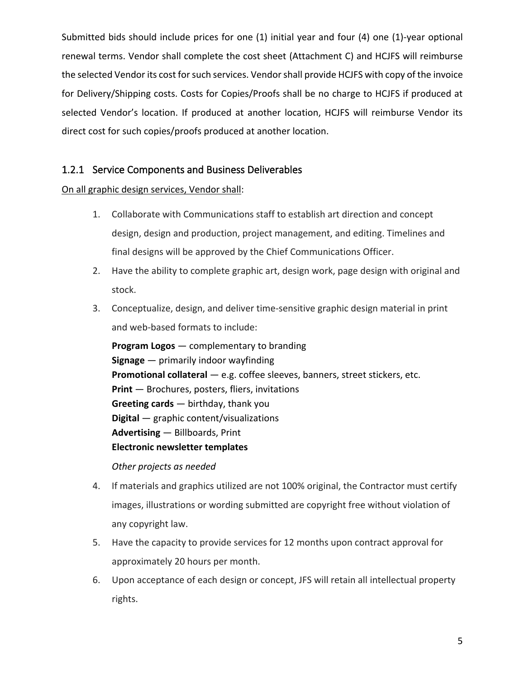Submitted bids should include prices for one (1) initial year and four (4) one (1)-year optional renewal terms. Vendor shall complete the cost sheet (Attachment C) and HCJFS will reimburse the selected Vendor its cost for such services. Vendor shall provide HCJFS with copy of the invoice for Delivery/Shipping costs. Costs for Copies/Proofs shall be no charge to HCJFS if produced at selected Vendor's location. If produced at another location, HCJFS will reimburse Vendor its direct cost for such copies/proofs produced at another location.

# 1.2.1 Service Components and Business Deliverables

## On all graphic design services, Vendor shall:

- 1. Collaborate with Communications staff to establish art direction and concept design, design and production, project management, and editing. Timelines and final designs will be approved by the Chief Communications Officer.
- 2. Have the ability to complete graphic art, design work, page design with original and stock.
- 3. Conceptualize, design, and deliver time-sensitive graphic design material in print and web-based formats to include:

**Program Logos** ― complementary to branding **Signage** ― primarily indoor wayfinding **Promotional collateral** ― e.g. coffee sleeves, banners, street stickers, etc. **Print** ― Brochures, posters, fliers, invitations **Greeting cards** ― birthday, thank you **Digital** ― graphic content/visualizations **Advertising** ― Billboards, Print **Electronic newsletter templates**

*Other projects as needed* 

- 4. If materials and graphics utilized are not 100% original, the Contractor must certify images, illustrations or wording submitted are copyright free without violation of any copyright law.
- 5. Have the capacity to provide services for 12 months upon contract approval for approximately 20 hours per month.
- 6. Upon acceptance of each design or concept, JFS will retain all intellectual property rights.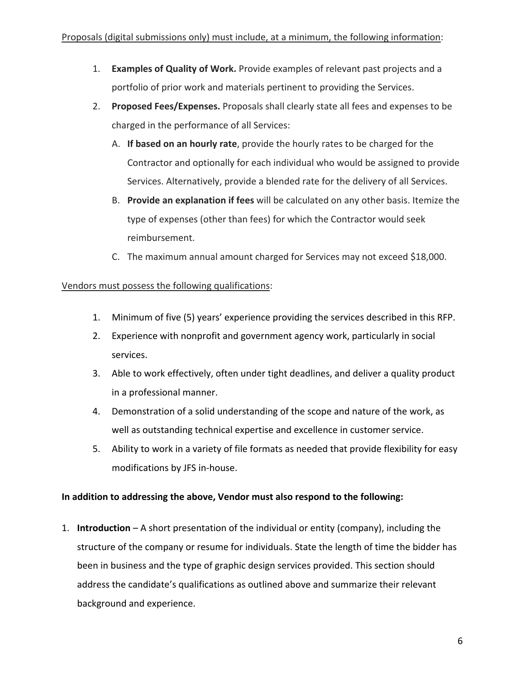- 1. **Examples of Quality of Work.** Provide examples of relevant past projects and a portfolio of prior work and materials pertinent to providing the Services.
- 2. **Proposed Fees/Expenses.** Proposals shall clearly state all fees and expenses to be charged in the performance of all Services:
	- A. **If based on an hourly rate**, provide the hourly rates to be charged for the Contractor and optionally for each individual who would be assigned to provide Services. Alternatively, provide a blended rate for the delivery of all Services.
	- B. **Provide an explanation if fees** will be calculated on any other basis. Itemize the type of expenses (other than fees) for which the Contractor would seek reimbursement.
	- C. The maximum annual amount charged for Services may not exceed \$18,000.

## Vendors must possess the following qualifications:

- 1. Minimum of five (5) years' experience providing the services described in this RFP.
- 2. Experience with nonprofit and government agency work, particularly in social services.
- 3. Able to work effectively, often under tight deadlines, and deliver a quality product in a professional manner.
- 4. Demonstration of a solid understanding of the scope and nature of the work, as well as outstanding technical expertise and excellence in customer service.
- 5. Ability to work in a variety of file formats as needed that provide flexibility for easy modifications by JFS in-house.

## **In addition to addressing the above, Vendor must also respond to the following:**

1. **Introduction** – A short presentation of the individual or entity (company), including the structure of the company or resume for individuals. State the length of time the bidder has been in business and the type of graphic design services provided. This section should address the candidate's qualifications as outlined above and summarize their relevant background and experience.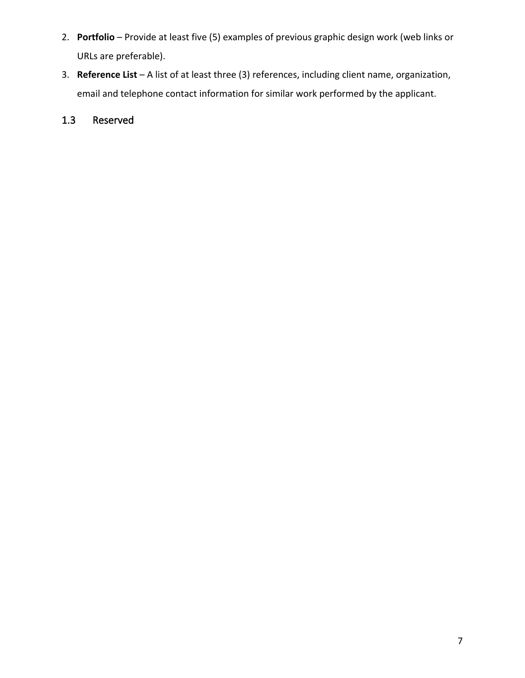- 2. **Portfolio** Provide at least five (5) examples of previous graphic design work (web links or URLs are preferable).
- 3. **Reference List** A list of at least three (3) references, including client name, organization, email and telephone contact information for similar work performed by the applicant.

# 1.3 Reserved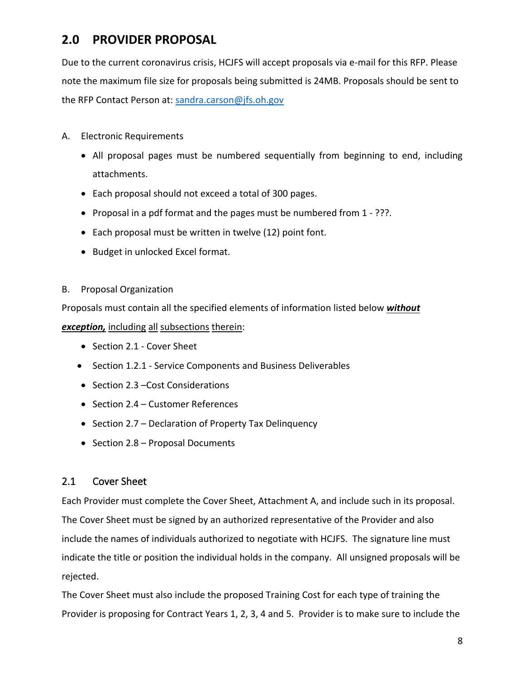# **2.0 PROVIDER PROPOSAL**

Due to the current coronavirus crisis, HCJFS will accept proposals via e-mail for this RFP. Please note the maximum file size for proposals being submitted is 24MB. Proposals should be sent to the RFP Contact Person at: [sandra.carson@jfs.oh.gov](mailto:sandra.carson@jfs.oh.gov)

- A. Electronic Requirements
	- All proposal pages must be numbered sequentially from beginning to end, including attachments.
	- Each proposal should not exceed a total of 300 pages.
	- Proposal in a pdf format and the pages must be numbered from 1 ???.
	- Each proposal must be written in twelve (12) point font.
	- Budget in unlocked Excel format.

## B. Proposal Organization

Proposals must contain all the specified elements of information listed below *without*

*exception,* including all subsections therein:

- Section 2.1 Cover Sheet
- Section 1.2.1 Service Components and Business Deliverables
- Section 2.3 Cost Considerations
- Section 2.4 Customer References
- Section 2.7 Declaration of Property Tax Delinquency
- Section 2.8 Proposal Documents

# 2.1 Cover Sheet

Each Provider must complete the Cover Sheet, Attachment A, and include such in its proposal. The Cover Sheet must be signed by an authorized representative of the Provider and also include the names of individuals authorized to negotiate with HCJFS. The signature line must indicate the title or position the individual holds in the company. All unsigned proposals will be rejected.

The Cover Sheet must also include the proposed Training Cost for each type of training the Provider is proposing for Contract Years 1, 2, 3, 4 and 5. Provider is to make sure to include the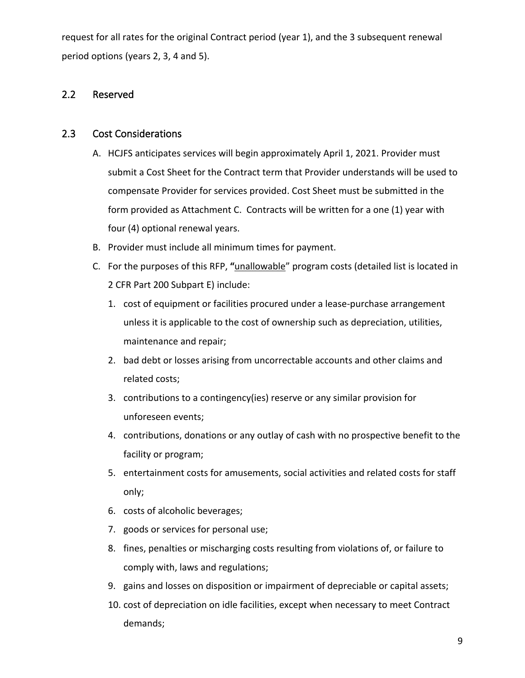request for all rates for the original Contract period (year 1), and the 3 subsequent renewal period options (years 2, 3, 4 and 5).

# 2.2 Reserved

## 2.3 Cost Considerations

- A. HCJFS anticipates services will begin approximately April 1, 2021. Provider must submit a Cost Sheet for the Contract term that Provider understands will be used to compensate Provider for services provided. Cost Sheet must be submitted in the form provided as Attachment C. Contracts will be written for a one (1) year with four (4) optional renewal years.
- B. Provider must include all minimum times for payment.
- C. For the purposes of this RFP, **"**unallowable" program costs (detailed list is located in 2 CFR Part 200 Subpart E) include:
	- 1. cost of equipment or facilities procured under a lease-purchase arrangement unless it is applicable to the cost of ownership such as depreciation, utilities, maintenance and repair;
	- 2. bad debt or losses arising from uncorrectable accounts and other claims and related costs;
	- 3. contributions to a contingency(ies) reserve or any similar provision for unforeseen events;
	- 4. contributions, donations or any outlay of cash with no prospective benefit to the facility or program;
	- 5. entertainment costs for amusements, social activities and related costs for staff only;
	- 6. costs of alcoholic beverages;
	- 7. goods or services for personal use;
	- 8. fines, penalties or mischarging costs resulting from violations of, or failure to comply with, laws and regulations;
	- 9. gains and losses on disposition or impairment of depreciable or capital assets;
	- 10. cost of depreciation on idle facilities, except when necessary to meet Contract demands;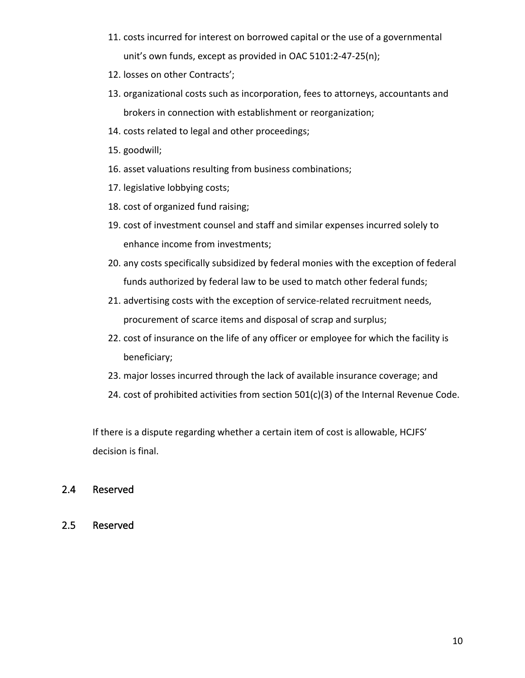- 11. costs incurred for interest on borrowed capital or the use of a governmental unit's own funds, except as provided in OAC 5101:2-47-25(n);
- 12. losses on other Contracts';
- 13. organizational costs such as incorporation, fees to attorneys, accountants and brokers in connection with establishment or reorganization;
- 14. costs related to legal and other proceedings;
- 15. goodwill;
- 16. asset valuations resulting from business combinations;
- 17. legislative lobbying costs;
- 18. cost of organized fund raising;
- 19. cost of investment counsel and staff and similar expenses incurred solely to enhance income from investments;
- 20. any costs specifically subsidized by federal monies with the exception of federal funds authorized by federal law to be used to match other federal funds;
- 21. advertising costs with the exception of service-related recruitment needs, procurement of scarce items and disposal of scrap and surplus;
- 22. cost of insurance on the life of any officer or employee for which the facility is beneficiary;
- 23. major losses incurred through the lack of available insurance coverage; and
- 24. cost of prohibited activities from section 501(c)(3) of the Internal Revenue Code.

If there is a dispute regarding whether a certain item of cost is allowable, HCJFS' decision is final.

## 2.4 Reserved

2.5 Reserved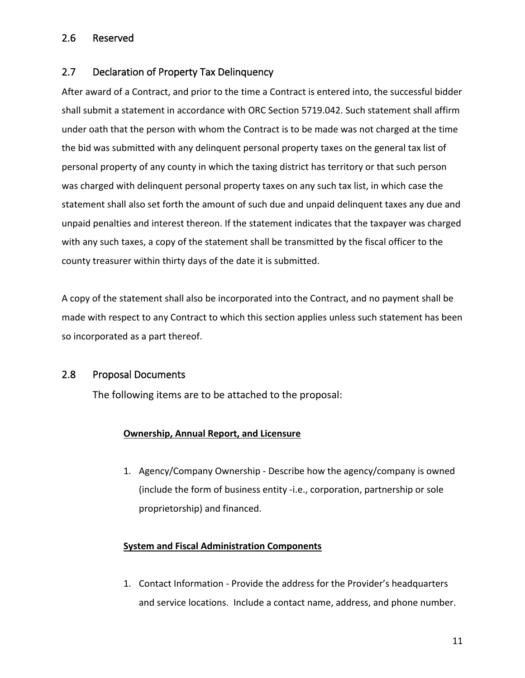# 2.6 Reserved

# 2.7 Declaration of Property Tax Delinquency

After award of a Contract, and prior to the time a Contract is entered into, the successful bidder shall submit a statement in accordance with ORC Section 5719.042. Such statement shall affirm under oath that the person with whom the Contract is to be made was not charged at the time the bid was submitted with any delinquent personal property taxes on the general tax list of personal property of any county in which the taxing district has territory or that such person was charged with delinquent personal property taxes on any such tax list, in which case the statement shall also set forth the amount of such due and unpaid delinquent taxes any due and unpaid penalties and interest thereon. If the statement indicates that the taxpayer was charged with any such taxes, a copy of the statement shall be transmitted by the fiscal officer to the county treasurer within thirty days of the date it is submitted.

A copy of the statement shall also be incorporated into the Contract, and no payment shall be made with respect to any Contract to which this section applies unless such statement has been so incorporated as a part thereof.

## 2.8 Proposal Documents

The following items are to be attached to the proposal:

#### **Ownership, Annual Report, and Licensure**

1. Agency/Company Ownership - Describe how the agency/company is owned (include the form of business entity -i.e., corporation, partnership or sole proprietorship) and financed.

## **System and Fiscal Administration Components**

1. Contact Information - Provide the address for the Provider's headquarters and service locations. Include a contact name, address, and phone number.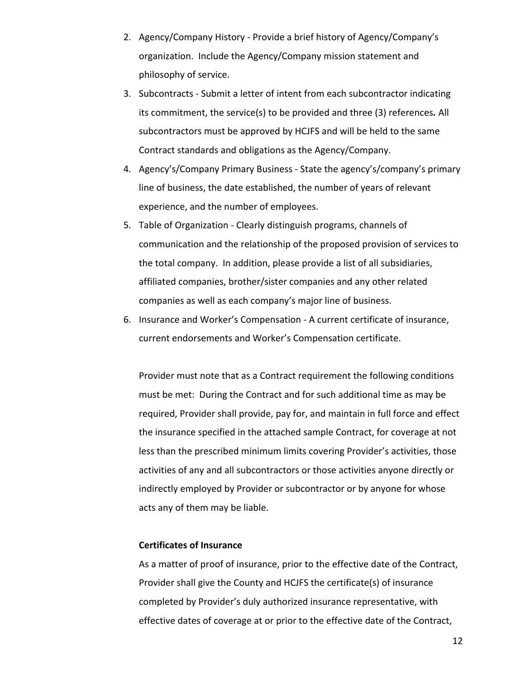- 2. Agency/Company History Provide a brief history of Agency/Company's organization. Include the Agency/Company mission statement and philosophy of service.
- 3. Subcontracts Submit a letter of intent from each subcontractor indicating its commitment, the service(s) to be provided and three (3) references*.* All subcontractors must be approved by HCJFS and will be held to the same Contract standards and obligations as the Agency/Company.
- 4. Agency's/Company Primary Business State the agency's/company's primary line of business, the date established, the number of years of relevant experience, and the number of employees.
- 5. Table of Organization Clearly distinguish programs, channels of communication and the relationship of the proposed provision of services to the total company. In addition, please provide a list of all subsidiaries, affiliated companies, brother/sister companies and any other related companies as well as each company's major line of business.
- 6. Insurance and Worker's Compensation A current certificate of insurance, current endorsements and Worker's Compensation certificate.

Provider must note that as a Contract requirement the following conditions must be met: During the Contract and for such additional time as may be required, Provider shall provide, pay for, and maintain in full force and effect the insurance specified in the attached sample Contract, for coverage at not less than the prescribed minimum limits covering Provider's activities, those activities of any and all subcontractors or those activities anyone directly or indirectly employed by Provider or subcontractor or by anyone for whose acts any of them may be liable.

#### **Certificates of Insurance**

As a matter of proof of insurance, prior to the effective date of the Contract, Provider shall give the County and HCJFS the certificate(s) of insurance completed by Provider's duly authorized insurance representative, with effective dates of coverage at or prior to the effective date of the Contract,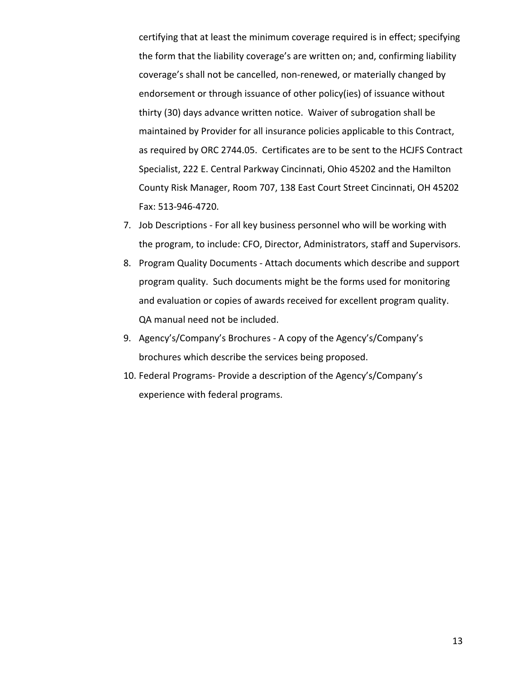certifying that at least the minimum coverage required is in effect; specifying the form that the liability coverage's are written on; and, confirming liability coverage's shall not be cancelled, non-renewed, or materially changed by endorsement or through issuance of other policy(ies) of issuance without thirty (30) days advance written notice. Waiver of subrogation shall be maintained by Provider for all insurance policies applicable to this Contract, as required by ORC 2744.05. Certificates are to be sent to the HCJFS Contract Specialist, 222 E. Central Parkway Cincinnati, Ohio 45202 and the Hamilton County Risk Manager, Room 707, 138 East Court Street Cincinnati, OH 45202 Fax: 513-946-4720.

- 7. Job Descriptions For all key business personnel who will be working with the program, to include: CFO, Director, Administrators, staff and Supervisors.
- 8. Program Quality Documents Attach documents which describe and support program quality. Such documents might be the forms used for monitoring and evaluation or copies of awards received for excellent program quality. QA manual need not be included.
- 9. Agency's/Company's Brochures A copy of the Agency's/Company's brochures which describe the services being proposed.
- 10. Federal Programs- Provide a description of the Agency's/Company's experience with federal programs.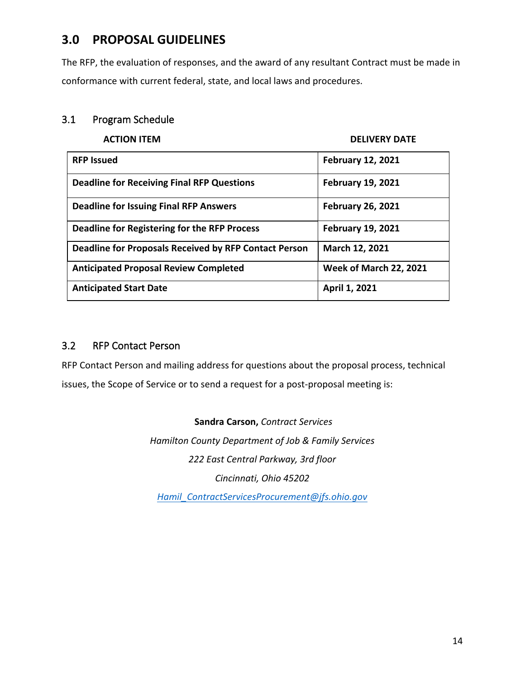# **3.0 PROPOSAL GUIDELINES**

The RFP, the evaluation of responses, and the award of any resultant Contract must be made in conformance with current federal, state, and local laws and procedures.

# 3.1 Program Schedule

#### **ACTION ITEM DELIVERY DATE**

| <b>RFP Issued</b>                                     | <b>February 12, 2021</b>      |
|-------------------------------------------------------|-------------------------------|
| <b>Deadline for Receiving Final RFP Questions</b>     | <b>February 19, 2021</b>      |
| <b>Deadline for Issuing Final RFP Answers</b>         | <b>February 26, 2021</b>      |
| Deadline for Registering for the RFP Process          | <b>February 19, 2021</b>      |
| Deadline for Proposals Received by RFP Contact Person | March 12, 2021                |
| <b>Anticipated Proposal Review Completed</b>          | <b>Week of March 22, 2021</b> |
| <b>Anticipated Start Date</b>                         | April 1, 2021                 |

# 3.2 RFP Contact Person

RFP Contact Person and mailing address for questions about the proposal process, technical issues, the Scope of Service or to send a request for a post-proposal meeting is:

## **Sandra Carson,** *Contract Services*

*Hamilton County Department of Job & Family Services 222 East Central Parkway, 3rd floor Cincinnati, Ohio 45202*

*[Hamil\\_ContractServicesProcurement@jfs.ohio.gov](mailto:Hamil_ContractServicesProcurement@jfs.ohio.gov)*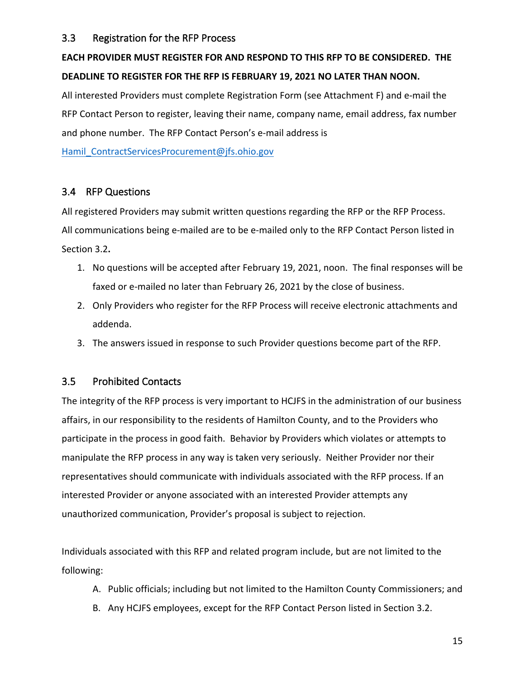# 3.3 Registration for the RFP Process

# **EACH PROVIDER MUST REGISTER FOR AND RESPOND TO THIS RFP TO BE CONSIDERED. THE DEADLINE TO REGISTER FOR THE RFP IS FEBRUARY 19, 2021 NO LATER THAN NOON.**

All interested Providers must complete Registration Form (see Attachment F) and e-mail the RFP Contact Person to register, leaving their name, company name, email address, fax number and phone number. The RFP Contact Person's e-mail address is

Hamil ContractServicesProcurement@jfs.ohio.gov

# 3.4 RFP Questions

All registered Providers may submit written questions regarding the RFP or the RFP Process. All communications being e-mailed are to be e-mailed only to the RFP Contact Person listed in Section 3.2**.**

- 1. No questions will be accepted after February 19, 2021, noon. The final responses will be faxed or e-mailed no later than February 26, 2021 by the close of business.
- 2. Only Providers who register for the RFP Process will receive electronic attachments and addenda.
- 3. The answers issued in response to such Provider questions become part of the RFP.

## 3.5 Prohibited Contacts

The integrity of the RFP process is very important to HCJFS in the administration of our business affairs, in our responsibility to the residents of Hamilton County, and to the Providers who participate in the process in good faith. Behavior by Providers which violates or attempts to manipulate the RFP process in any way is taken very seriously. Neither Provider nor their representatives should communicate with individuals associated with the RFP process. If an interested Provider or anyone associated with an interested Provider attempts any unauthorized communication, Provider's proposal is subject to rejection.

Individuals associated with this RFP and related program include, but are not limited to the following:

- A. Public officials; including but not limited to the Hamilton County Commissioners; and
- B. Any HCJFS employees, except for the RFP Contact Person listed in Section 3.2.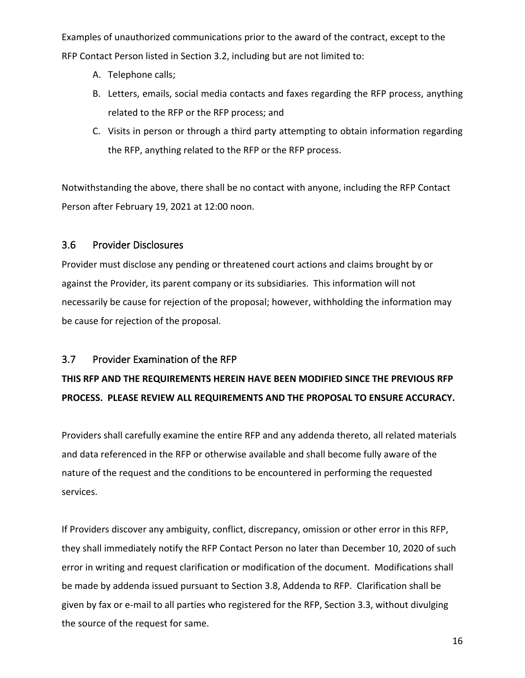Examples of unauthorized communications prior to the award of the contract, except to the RFP Contact Person listed in Section 3.2, including but are not limited to:

- A. Telephone calls;
- B. Letters, emails, social media contacts and faxes regarding the RFP process, anything related to the RFP or the RFP process; and
- C. Visits in person or through a third party attempting to obtain information regarding the RFP, anything related to the RFP or the RFP process.

Notwithstanding the above, there shall be no contact with anyone, including the RFP Contact Person after February 19, 2021 at 12:00 noon.

# 3.6 Provider Disclosures

Provider must disclose any pending or threatened court actions and claims brought by or against the Provider, its parent company or its subsidiaries. This information will not necessarily be cause for rejection of the proposal; however, withholding the information may be cause for rejection of the proposal.

# 3.7 Provider Examination of the RFP

# **THIS RFP AND THE REQUIREMENTS HEREIN HAVE BEEN MODIFIED SINCE THE PREVIOUS RFP PROCESS. PLEASE REVIEW ALL REQUIREMENTS AND THE PROPOSAL TO ENSURE ACCURACY.**

Providers shall carefully examine the entire RFP and any addenda thereto, all related materials and data referenced in the RFP or otherwise available and shall become fully aware of the nature of the request and the conditions to be encountered in performing the requested services.

If Providers discover any ambiguity, conflict, discrepancy, omission or other error in this RFP, they shall immediately notify the RFP Contact Person no later than December 10, 2020 of such error in writing and request clarification or modification of the document. Modifications shall be made by addenda issued pursuant to Section 3.8, Addenda to RFP.Clarification shall be given by fax or e-mail to all parties who registered for the RFP, Section 3.3, without divulging the source of the request for same.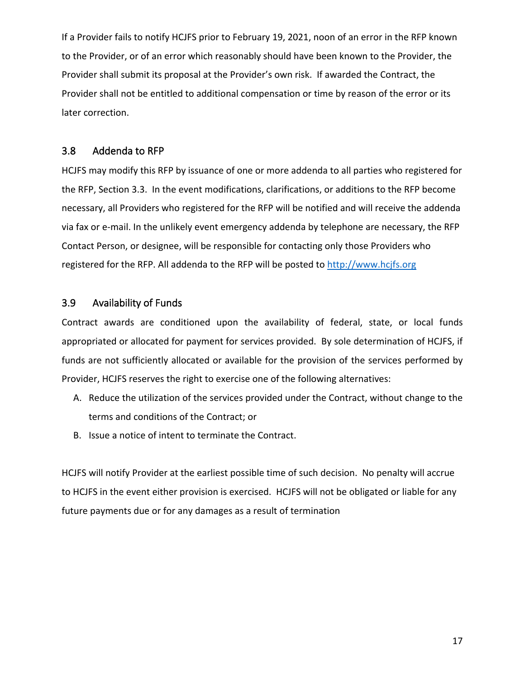If a Provider fails to notify HCJFS prior to February 19, 2021, noon of an error in the RFP known to the Provider, or of an error which reasonably should have been known to the Provider, the Provider shall submit its proposal at the Provider's own risk. If awarded the Contract, the Provider shall not be entitled to additional compensation or time by reason of the error or its later correction.

## 3.8 Addenda to RFP

HCJFS may modify this RFP by issuance of one or more addenda to all parties who registered for the RFP, Section 3.3. In the event modifications, clarifications, or additions to the RFP become necessary, all Providers who registered for the RFP will be notified and will receive the addenda via fax or e-mail. In the unlikely event emergency addenda by telephone are necessary, the RFP Contact Person, or designee, will be responsible for contacting only those Providers who registered for the RFP. All addenda to the RFP will be posted to [http://www.hcjfs.org](http://www.hcjfs.org/)

# 3.9 Availability of Funds

Contract awards are conditioned upon the availability of federal, state, or local funds appropriated or allocated for payment for services provided. By sole determination of HCJFS, if funds are not sufficiently allocated or available for the provision of the services performed by Provider, HCJFS reserves the right to exercise one of the following alternatives:

- A. Reduce the utilization of the services provided under the Contract, without change to the terms and conditions of the Contract; or
- B. Issue a notice of intent to terminate the Contract.

HCJFS will notify Provider at the earliest possible time of such decision. No penalty will accrue to HCJFS in the event either provision is exercised. HCJFS will not be obligated or liable for any future payments due or for any damages as a result of termination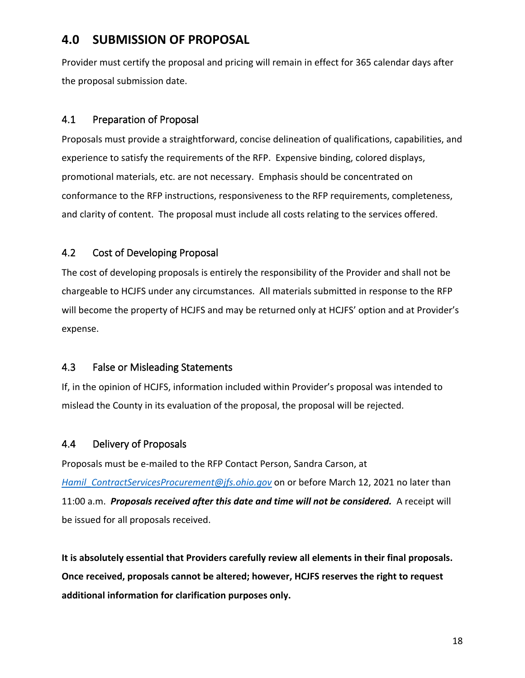# **4.0 SUBMISSION OF PROPOSAL**

Provider must certify the proposal and pricing will remain in effect for 365 calendar days after the proposal submission date.

# 4.1 Preparation of Proposal

Proposals must provide a straightforward, concise delineation of qualifications, capabilities, and experience to satisfy the requirements of the RFP. Expensive binding, colored displays, promotional materials, etc. are not necessary. Emphasis should be concentrated on conformance to the RFP instructions, responsiveness to the RFP requirements, completeness, and clarity of content. The proposal must include all costs relating to the services offered.

# 4.2 Cost of Developing Proposal

The cost of developing proposals is entirely the responsibility of the Provider and shall not be chargeable to HCJFS under any circumstances. All materials submitted in response to the RFP will become the property of HCJFS and may be returned only at HCJFS' option and at Provider's expense.

# 4.3 False or Misleading Statements

If, in the opinion of HCJFS, information included within Provider's proposal was intended to mislead the County in its evaluation of the proposal, the proposal will be rejected.

# 4.4 Delivery of Proposals

Proposals must be e-mailed to the RFP Contact Person, Sandra Carson, at *Hamil ContractServicesProcurement@jfs.ohio.gov* on or before March 12, 2021 no later than 11:00 a.m. *Proposals received after this date and time will not be considered.* A receipt will be issued for all proposals received.

**It is absolutely essential that Providers carefully review all elements in their final proposals. Once received, proposals cannot be altered; however, HCJFS reserves the right to request additional information for clarification purposes only.**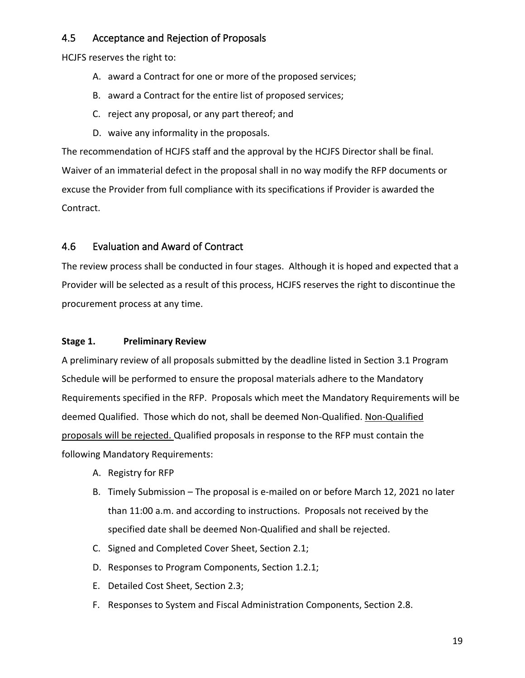# 4.5 Acceptance and Rejection of Proposals

HCJFS reserves the right to:

- A. award a Contract for one or more of the proposed services;
- B. award a Contract for the entire list of proposed services;
- C. reject any proposal, or any part thereof; and
- D. waive any informality in the proposals.

The recommendation of HCJFS staff and the approval by the HCJFS Director shall be final. Waiver of an immaterial defect in the proposal shall in no way modify the RFP documents or excuse the Provider from full compliance with its specifications if Provider is awarded the Contract.

# 4.6 Evaluation and Award of Contract

The review process shall be conducted in four stages. Although it is hoped and expected that a Provider will be selected as a result of this process, HCJFS reserves the right to discontinue the procurement process at any time.

# **Stage 1. Preliminary Review**

A preliminary review of all proposals submitted by the deadline listed in Section 3.1 Program Schedule will be performed to ensure the proposal materials adhere to the Mandatory Requirements specified in the RFP. Proposals which meet the Mandatory Requirements will be deemed Qualified. Those which do not, shall be deemed Non-Qualified. Non-Qualified proposals will be rejected. Qualified proposals in response to the RFP must contain the following Mandatory Requirements:

- A. Registry for RFP
- B. Timely Submission The proposal is e-mailed on or before March 12, 2021 no later than 11:00 a.m. and according to instructions. Proposals not received by the specified date shall be deemed Non-Qualified and shall be rejected.
- C. Signed and Completed Cover Sheet, Section 2.1;
- D. Responses to Program Components, Section 1.2.1;
- E. Detailed Cost Sheet, Section 2.3;
- F. Responses to System and Fiscal Administration Components, Section 2.8.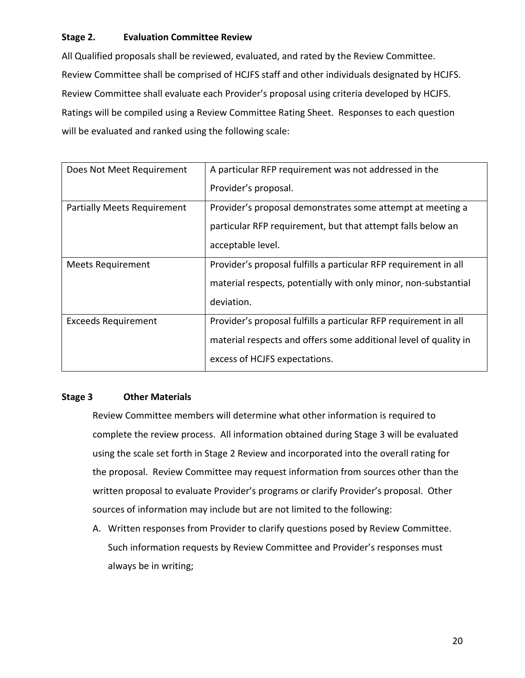## **Stage 2. Evaluation Committee Review**

All Qualified proposals shall be reviewed, evaluated, and rated by the Review Committee. Review Committee shall be comprised of HCJFS staff and other individuals designated by HCJFS. Review Committee shall evaluate each Provider's proposal using criteria developed by HCJFS. Ratings will be compiled using a Review Committee Rating Sheet. Responses to each question will be evaluated and ranked using the following scale:

| Does Not Meet Requirement          | A particular RFP requirement was not addressed in the            |  |  |
|------------------------------------|------------------------------------------------------------------|--|--|
|                                    | Provider's proposal.                                             |  |  |
| <b>Partially Meets Requirement</b> | Provider's proposal demonstrates some attempt at meeting a       |  |  |
|                                    | particular RFP requirement, but that attempt falls below an      |  |  |
|                                    | acceptable level.                                                |  |  |
| <b>Meets Requirement</b>           | Provider's proposal fulfills a particular RFP requirement in all |  |  |
|                                    | material respects, potentially with only minor, non-substantial  |  |  |
|                                    | deviation.                                                       |  |  |
| <b>Exceeds Requirement</b>         | Provider's proposal fulfills a particular RFP requirement in all |  |  |
|                                    | material respects and offers some additional level of quality in |  |  |
|                                    | excess of HCJFS expectations.                                    |  |  |

#### **Stage 3 Other Materials**

Review Committee members will determine what other information is required to complete the review process. All information obtained during Stage 3 will be evaluated using the scale set forth in Stage 2 Review and incorporated into the overall rating for the proposal. Review Committee may request information from sources other than the written proposal to evaluate Provider's programs or clarify Provider's proposal. Other sources of information may include but are not limited to the following:

A. Written responses from Provider to clarify questions posed by Review Committee. Such information requests by Review Committee and Provider's responses must always be in writing;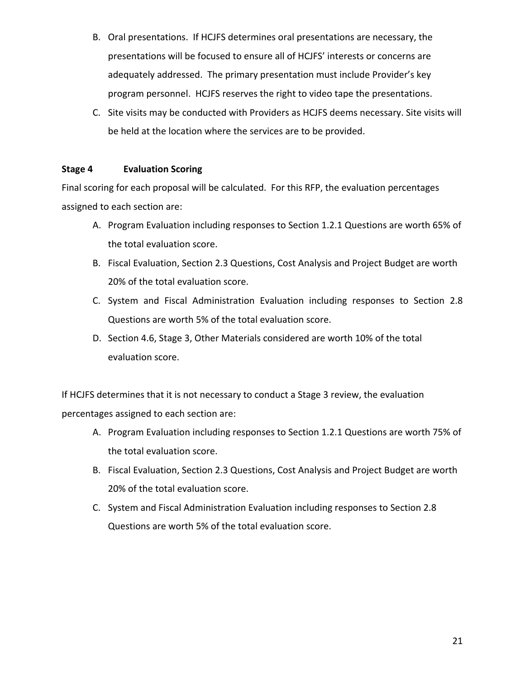- B. Oral presentations. If HCJFS determines oral presentations are necessary, the presentations will be focused to ensure all of HCJFS' interests or concerns are adequately addressed. The primary presentation must include Provider's key program personnel. HCJFS reserves the right to video tape the presentations.
- C. Site visits may be conducted with Providers as HCJFS deems necessary. Site visits will be held at the location where the services are to be provided.

## **Stage 4 Evaluation Scoring**

Final scoring for each proposal will be calculated. For this RFP, the evaluation percentages assigned to each section are:

- A. Program Evaluation including responses to Section 1.2.1 Questions are worth 65% of the total evaluation score.
- B. Fiscal Evaluation, Section 2.3 Questions, Cost Analysis and Project Budget are worth 20% of the total evaluation score.
- C. System and Fiscal Administration Evaluation including responses to Section 2.8 Questions are worth 5% of the total evaluation score.
- D. Section 4.6, Stage 3, Other Materials considered are worth 10% of the total evaluation score.

If HCJFS determines that it is not necessary to conduct a Stage 3 review, the evaluation percentages assigned to each section are:

- A. Program Evaluation including responses to Section 1.2.1 Questions are worth 75% of the total evaluation score.
- B. Fiscal Evaluation, Section 2.3 Questions, Cost Analysis and Project Budget are worth 20% of the total evaluation score.
- C. System and Fiscal Administration Evaluation including responses to Section 2.8 Questions are worth 5% of the total evaluation score.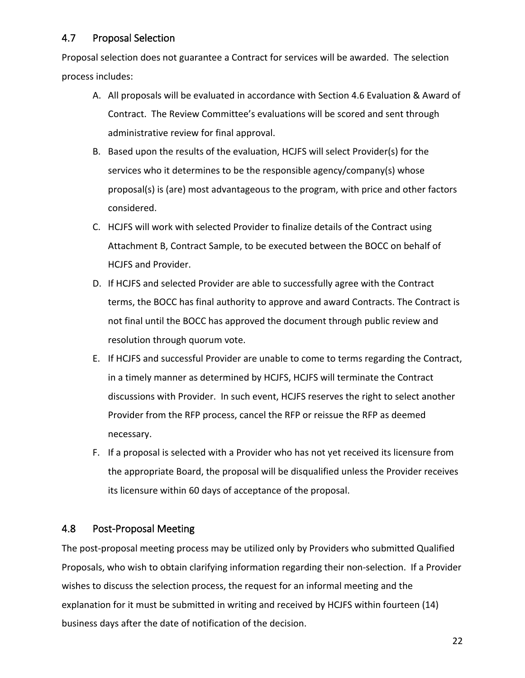# 4.7 Proposal Selection

Proposal selection does not guarantee a Contract for services will be awarded. The selection process includes:

- A. All proposals will be evaluated in accordance with Section 4.6 Evaluation & Award of Contract. The Review Committee's evaluations will be scored and sent through administrative review for final approval.
- B. Based upon the results of the evaluation, HCJFS will select Provider(s) for the services who it determines to be the responsible agency/company(s) whose proposal(s) is (are) most advantageous to the program, with price and other factors considered.
- C. HCJFS will work with selected Provider to finalize details of the Contract using Attachment B, Contract Sample, to be executed between the BOCC on behalf of HCJFS and Provider.
- D. If HCJFS and selected Provider are able to successfully agree with the Contract terms, the BOCC has final authority to approve and award Contracts. The Contract is not final until the BOCC has approved the document through public review and resolution through quorum vote.
- E. If HCJFS and successful Provider are unable to come to terms regarding the Contract, in a timely manner as determined by HCJFS, HCJFS will terminate the Contract discussions with Provider. In such event, HCJFS reserves the right to select another Provider from the RFP process, cancel the RFP or reissue the RFP as deemed necessary.
- F. If a proposal is selected with a Provider who has not yet received its licensure from the appropriate Board, the proposal will be disqualified unless the Provider receives its licensure within 60 days of acceptance of the proposal.

# 4.8 Post-Proposal Meeting

The post-proposal meeting process may be utilized only by Providers who submitted Qualified Proposals, who wish to obtain clarifying information regarding their non-selection. If a Provider wishes to discuss the selection process, the request for an informal meeting and the explanation for it must be submitted in writing and received by HCJFS within fourteen (14) business days after the date of notification of the decision.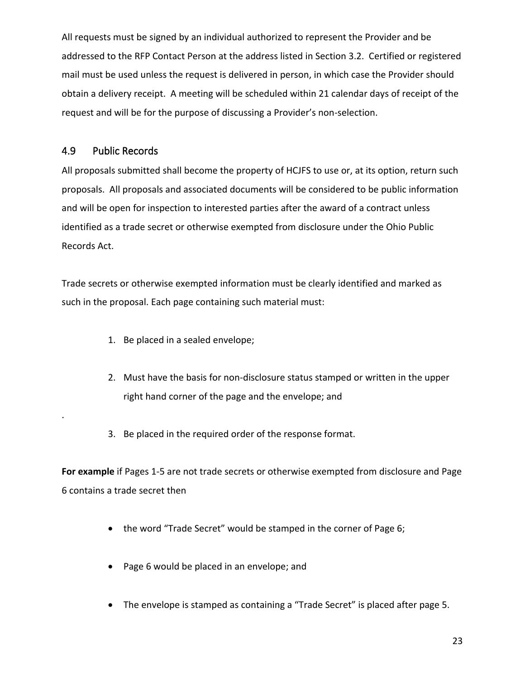All requests must be signed by an individual authorized to represent the Provider and be addressed to the RFP Contact Person at the address listed in Section 3.2.Certified or registered mail must be used unless the request is delivered in person, in which case the Provider should obtain a delivery receipt. A meeting will be scheduled within 21 calendar days of receipt of the request and will be for the purpose of discussing a Provider's non-selection.

## 4.9 Public Records

.

All proposals submitted shall become the property of HCJFS to use or, at its option, return such proposals. All proposals and associated documents will be considered to be public information and will be open for inspection to interested parties after the award of a contract unless identified as a trade secret or otherwise exempted from disclosure under the Ohio Public Records Act.

Trade secrets or otherwise exempted information must be clearly identified and marked as such in the proposal. Each page containing such material must:

- 1. Be placed in a sealed envelope;
- 2. Must have the basis for non-disclosure status stamped or written in the upper right hand corner of the page and the envelope; and
- 3. Be placed in the required order of the response format.

**For example** if Pages 1-5 are not trade secrets or otherwise exempted from disclosure and Page 6 contains a trade secret then

- the word "Trade Secret" would be stamped in the corner of Page 6;
- Page 6 would be placed in an envelope; and
- The envelope is stamped as containing a "Trade Secret" is placed after page 5.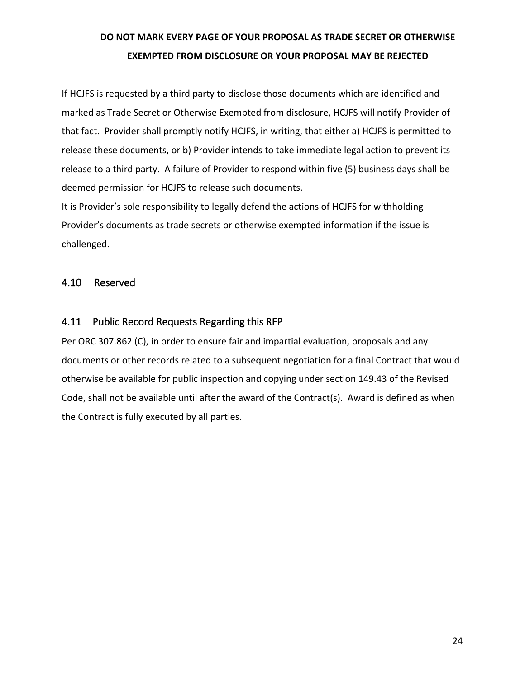# **DO NOT MARK EVERY PAGE OF YOUR PROPOSAL AS TRADE SECRET OR OTHERWISE EXEMPTED FROM DISCLOSURE OR YOUR PROPOSAL MAY BE REJECTED**

If HCJFS is requested by a third party to disclose those documents which are identified and marked as Trade Secret or Otherwise Exempted from disclosure, HCJFS will notify Provider of that fact. Provider shall promptly notify HCJFS, in writing, that either a) HCJFS is permitted to release these documents, or b) Provider intends to take immediate legal action to prevent its release to a third party. A failure of Provider to respond within five (5) business days shall be deemed permission for HCJFS to release such documents.

It is Provider's sole responsibility to legally defend the actions of HCJFS for withholding Provider's documents as trade secrets or otherwise exempted information if the issue is challenged.

## 4.10 Reserved

# 4.11 Public Record Requests Regarding this RFP

Per ORC 307.862 (C), in order to ensure fair and impartial evaluation, proposals and any documents or other records related to a subsequent negotiation for a final Contract that would otherwise be available for public inspection and copying under section 149.43 of the Revised Code, shall not be available until after the award of the Contract(s). Award is defined as when the Contract is fully executed by all parties.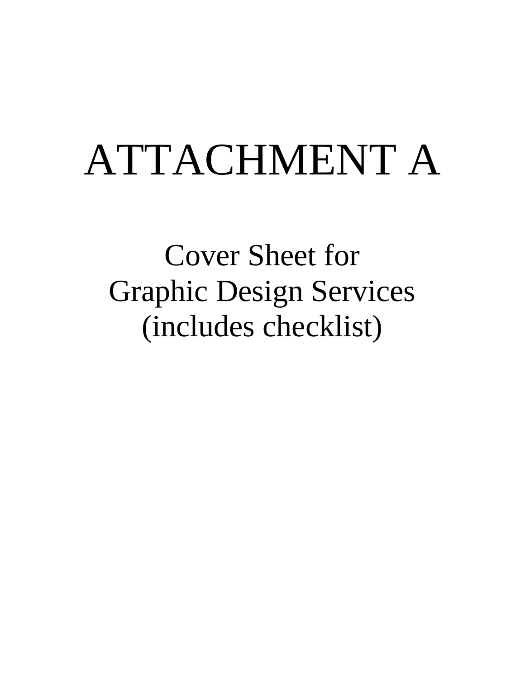# ATTACHMENT A

Cover Sheet for Graphic Design Services (includes checklist)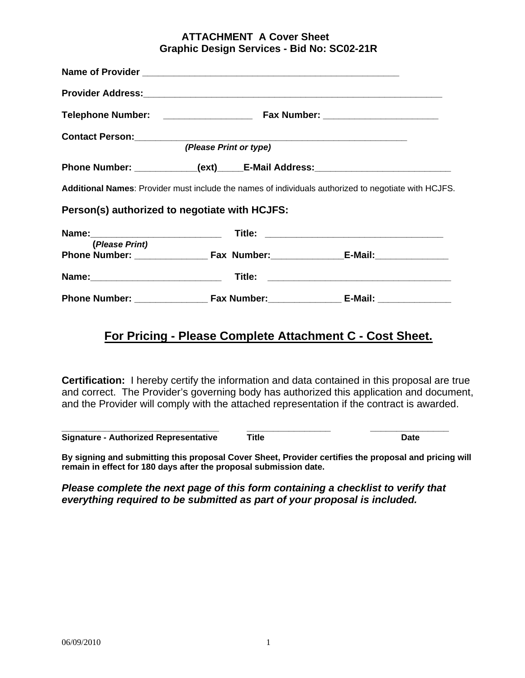#### **ATTACHMENT A Cover Sheet Graphic Design Services - Bid No: SC02-21R**

|                                               | (Please Print or type) |                                                                                                      |
|-----------------------------------------------|------------------------|------------------------------------------------------------------------------------------------------|
|                                               |                        | Phone Number: __________(ext)_____E-Mail Address: ______________________________                     |
|                                               |                        | Additional Names: Provider must include the names of individuals authorized to negotiate with HCJFS. |
| Person(s) authorized to negotiate with HCJFS: |                        |                                                                                                      |
|                                               |                        |                                                                                                      |
| (Please Print)                                |                        |                                                                                                      |
|                                               |                        |                                                                                                      |
|                                               |                        |                                                                                                      |

# **For Pricing - Please Complete Attachment C - Cost Sheet.**

**Certification:** I hereby certify the information and data contained in this proposal are true and correct. The Provider's governing body has authorized this application and document, and the Provider will comply with the attached representation if the contract is awarded.

**\_\_\_\_\_\_\_\_\_\_\_\_\_\_\_\_\_\_\_\_\_\_\_\_\_\_\_\_\_\_ \_\_\_\_\_\_\_\_\_\_\_\_\_\_\_\_ \_\_\_\_\_\_\_\_\_\_\_\_\_\_\_ Signature - Authorized Representative Title Date**

**By signing and submitting this proposal Cover Sheet, Provider certifies the proposal and pricing will remain in effect for 180 days after the proposal submission date.**

*Please complete the next page of this form containing a checklist to verify that everything required to be submitted as part of your proposal is included.*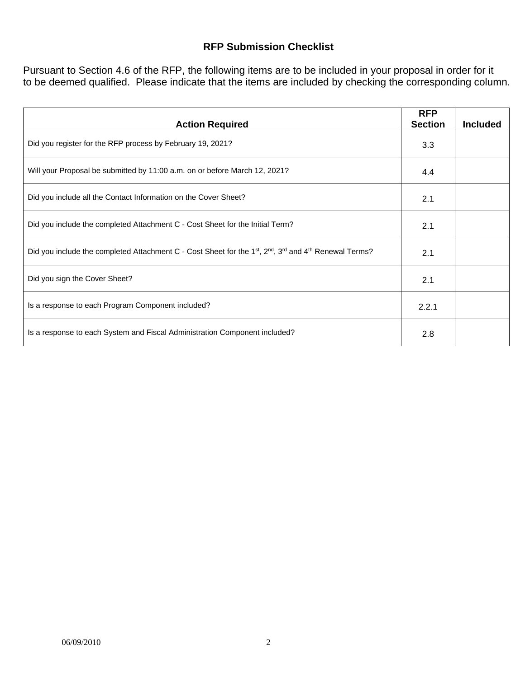# **RFP Submission Checklist**

Pursuant to Section 4.6 of the RFP, the following items are to be included in your proposal in order for it to be deemed qualified. Please indicate that the items are included by checking the corresponding column.

| <b>Action Required</b>                                                                                                                                 | <b>RFP</b><br><b>Section</b> | <b>Included</b> |
|--------------------------------------------------------------------------------------------------------------------------------------------------------|------------------------------|-----------------|
| Did you register for the RFP process by February 19, 2021?                                                                                             | 3.3                          |                 |
| Will your Proposal be submitted by 11:00 a.m. on or before March 12, 2021?                                                                             | 4.4                          |                 |
| Did you include all the Contact Information on the Cover Sheet?                                                                                        | 2.1                          |                 |
| Did you include the completed Attachment C - Cost Sheet for the Initial Term?                                                                          | 2.1                          |                 |
| Did you include the completed Attachment C - Cost Sheet for the 1 <sup>st</sup> , 2 <sup>nd</sup> , 3 <sup>rd</sup> and 4 <sup>th</sup> Renewal Terms? | 2.1                          |                 |
| Did you sign the Cover Sheet?                                                                                                                          | 2.1                          |                 |
| Is a response to each Program Component included?                                                                                                      | 2.2.1                        |                 |
| Is a response to each System and Fiscal Administration Component included?                                                                             | 2.8                          |                 |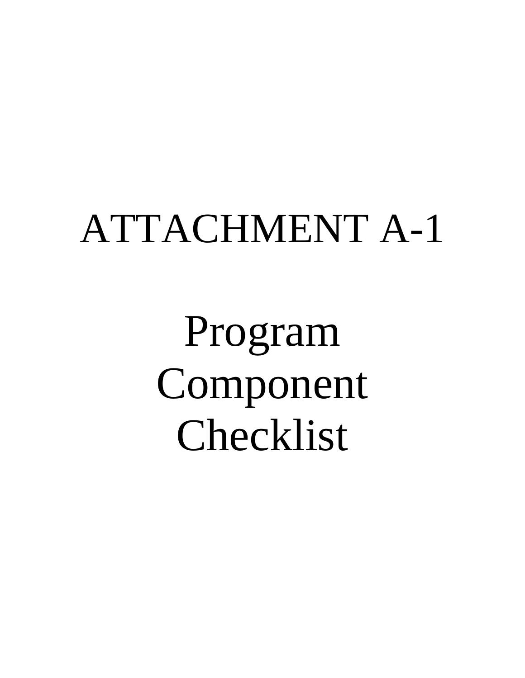# ATTACHMENT A-1

Program Component Checklist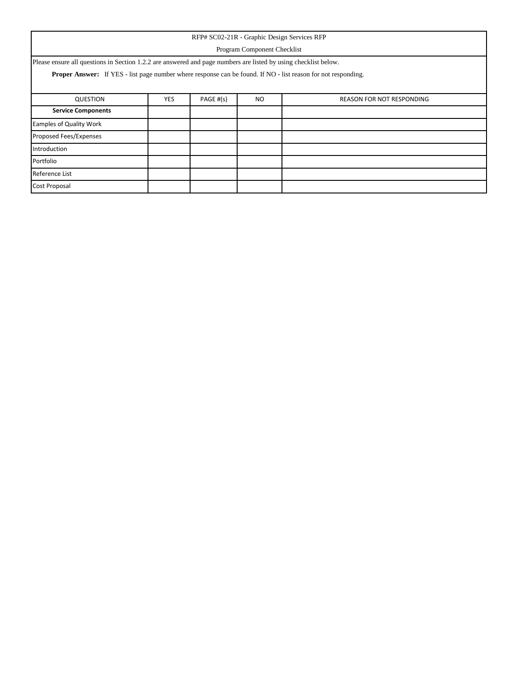| RFP# SC02-21R - Graphic Design Services RFP                                                                          |                                                                          |  |  |  |  |  |  |  |  |
|----------------------------------------------------------------------------------------------------------------------|--------------------------------------------------------------------------|--|--|--|--|--|--|--|--|
|                                                                                                                      | Program Component Checklist                                              |  |  |  |  |  |  |  |  |
| Please ensure all questions in Section 1.2.2 are answered and page numbers are listed by using checklist below.      |                                                                          |  |  |  |  |  |  |  |  |
| <b>Proper Answer:</b> If YES - list page number where response can be found. If NO - list reason for not responding. |                                                                          |  |  |  |  |  |  |  |  |
|                                                                                                                      |                                                                          |  |  |  |  |  |  |  |  |
| QUESTION                                                                                                             | PAGE #(s)<br><b>YES</b><br><b>NO</b><br><b>REASON FOR NOT RESPONDING</b> |  |  |  |  |  |  |  |  |
| <b>Service Components</b>                                                                                            |                                                                          |  |  |  |  |  |  |  |  |
| <b>Eamples of Quality Work</b>                                                                                       |                                                                          |  |  |  |  |  |  |  |  |
| Proposed Fees/Expenses                                                                                               |                                                                          |  |  |  |  |  |  |  |  |
| Introduction                                                                                                         |                                                                          |  |  |  |  |  |  |  |  |
| Portfolio                                                                                                            |                                                                          |  |  |  |  |  |  |  |  |
| Reference List                                                                                                       |                                                                          |  |  |  |  |  |  |  |  |
| Cost Proposal                                                                                                        |                                                                          |  |  |  |  |  |  |  |  |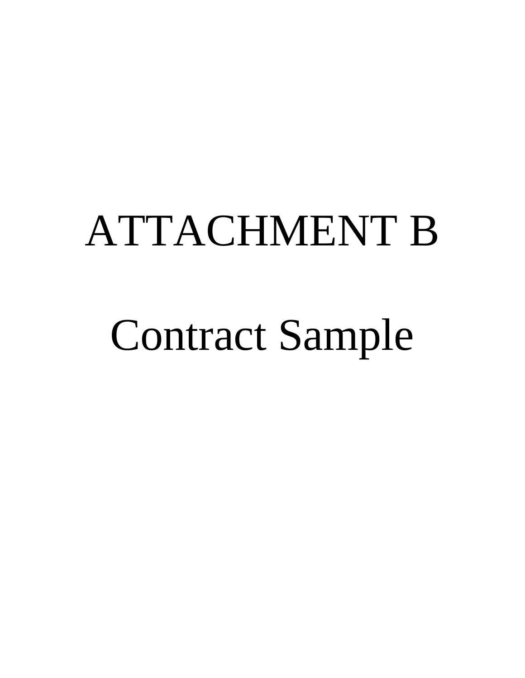# ATTACHMENT B

# Contract Sample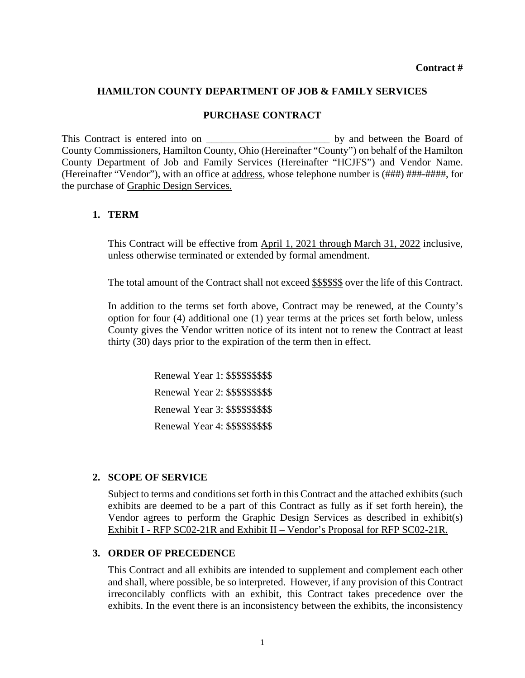#### **HAMILTON COUNTY DEPARTMENT OF JOB & FAMILY SERVICES**

#### **PURCHASE CONTRACT**

This Contract is entered into on the Board of the Board of the Board of the Board of County Commissioners, Hamilton County, Ohio (Hereinafter "County") on behalf of the Hamilton County Department of Job and Family Services (Hereinafter "HCJFS") and Vendor Name. (Hereinafter "Vendor"), with an office at address, whose telephone number is (###) ###-####, for the purchase of Graphic Design Services.

#### **1. TERM**

This Contract will be effective from April 1, 2021 through March 31, 2022 inclusive, unless otherwise terminated or extended by formal amendment.

The total amount of the Contract shall not exceed \$\$\$\$\$\$ over the life of this Contract.

In addition to the terms set forth above, Contract may be renewed, at the County's option for four (4) additional one (1) year terms at the prices set forth below, unless County gives the Vendor written notice of its intent not to renew the Contract at least thirty (30) days prior to the expiration of the term then in effect.

> Renewal Year 1: \$\$\$\$\$\$\$\$\$ Renewal Year 2: \$\$\$\$\$\$\$\$\$ Renewal Year 3: \$\$\$\$\$\$\$\$\$ Renewal Year 4: \$\$\$\$\$\$\$\$\$

#### **2. SCOPE OF SERVICE**

Subject to terms and conditions set forth in this Contract and the attached exhibits (such exhibits are deemed to be a part of this Contract as fully as if set forth herein), the Vendor agrees to perform the Graphic Design Services as described in exhibit(s) Exhibit I - RFP SC02-21R and Exhibit II – Vendor's Proposal for RFP SC02-21R.

#### **3. ORDER OF PRECEDENCE**

This Contract and all exhibits are intended to supplement and complement each other and shall, where possible, be so interpreted. However, if any provision of this Contract irreconcilably conflicts with an exhibit, this Contract takes precedence over the exhibits. In the event there is an inconsistency between the exhibits, the inconsistency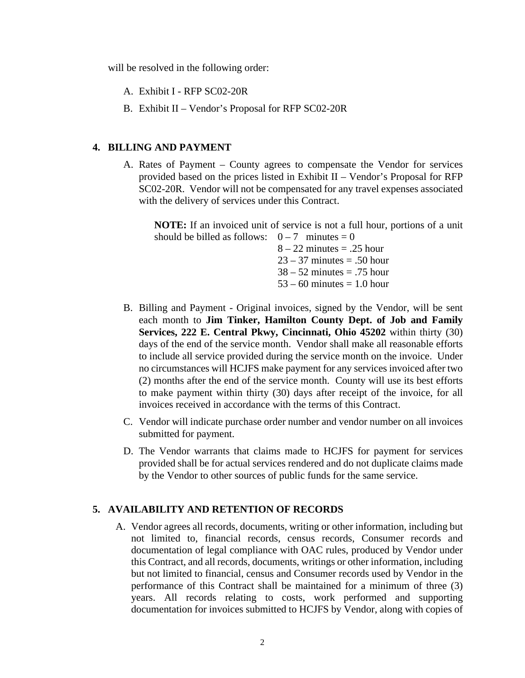will be resolved in the following order:

A. Exhibit I - RFP SC02-20R

B. Exhibit II – Vendor's Proposal for RFP SC02-20R

#### **4. BILLING AND PAYMENT**

A. Rates of Payment – County agrees to compensate the Vendor for services provided based on the prices listed in Exhibit II – Vendor's Proposal for RFP SC02-20R. Vendor will not be compensated for any travel expenses associated with the delivery of services under this Contract.

**NOTE:** If an invoiced unit of service is not a full hour, portions of a unit should be billed as follows:  $0-7$  minutes = 0

> $8 - 22$  minutes = .25 hour  $23 - 37$  minutes  $= .50$  hour  $38 - 52$  minutes  $= .75$  hour  $53 - 60$  minutes  $= 1.0$  hour

- B. Billing and Payment Original invoices, signed by the Vendor, will be sent each month to **Jim Tinker, Hamilton County Dept. of Job and Family Services, 222 E. Central Pkwy, Cincinnati, Ohio 45202** within thirty (30) days of the end of the service month. Vendor shall make all reasonable efforts to include all service provided during the service month on the invoice. Under no circumstances will HCJFS make payment for any services invoiced after two (2) months after the end of the service month. County will use its best efforts to make payment within thirty (30) days after receipt of the invoice, for all invoices received in accordance with the terms of this Contract.
- C. Vendor will indicate purchase order number and vendor number on all invoices submitted for payment.
- D. The Vendor warrants that claims made to HCJFS for payment for services provided shall be for actual services rendered and do not duplicate claims made by the Vendor to other sources of public funds for the same service.

### **5. AVAILABILITY AND RETENTION OF RECORDS**

A. Vendor agrees all records, documents, writing or other information, including but not limited to, financial records, census records, Consumer records and documentation of legal compliance with OAC rules, produced by Vendor under this Contract, and all records, documents, writings or other information, including but not limited to financial, census and Consumer records used by Vendor in the performance of this Contract shall be maintained for a minimum of three (3) years. All records relating to costs, work performed and supporting documentation for invoices submitted to HCJFS by Vendor, along with copies of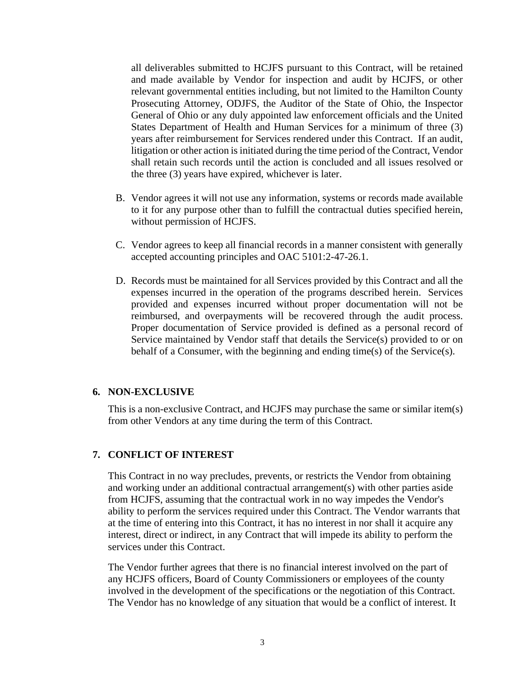all deliverables submitted to HCJFS pursuant to this Contract, will be retained and made available by Vendor for inspection and audit by HCJFS, or other relevant governmental entities including, but not limited to the Hamilton County Prosecuting Attorney, ODJFS, the Auditor of the State of Ohio, the Inspector General of Ohio or any duly appointed law enforcement officials and the United States Department of Health and Human Services for a minimum of three (3) years after reimbursement for Services rendered under this Contract. If an audit, litigation or other action is initiated during the time period of the Contract, Vendor shall retain such records until the action is concluded and all issues resolved or the three (3) years have expired, whichever is later.

- B. Vendor agrees it will not use any information, systems or records made available to it for any purpose other than to fulfill the contractual duties specified herein, without permission of HCJFS.
- C. Vendor agrees to keep all financial records in a manner consistent with generally accepted accounting principles and OAC 5101:2-47-26.1.
- D. Records must be maintained for all Services provided by this Contract and all the expenses incurred in the operation of the programs described herein. Services provided and expenses incurred without proper documentation will not be reimbursed, and overpayments will be recovered through the audit process. Proper documentation of Service provided is defined as a personal record of Service maintained by Vendor staff that details the Service(s) provided to or on behalf of a Consumer, with the beginning and ending time(s) of the Service(s).

#### **6. NON-EXCLUSIVE**

This is a non-exclusive Contract, and HCJFS may purchase the same or similar item(s) from other Vendors at any time during the term of this Contract.

#### **7. CONFLICT OF INTEREST**

This Contract in no way precludes, prevents, or restricts the Vendor from obtaining and working under an additional contractual arrangement(s) with other parties aside from HCJFS, assuming that the contractual work in no way impedes the Vendor's ability to perform the services required under this Contract. The Vendor warrants that at the time of entering into this Contract, it has no interest in nor shall it acquire any interest, direct or indirect, in any Contract that will impede its ability to perform the services under this Contract.

The Vendor further agrees that there is no financial interest involved on the part of any HCJFS officers, Board of County Commissioners or employees of the county involved in the development of the specifications or the negotiation of this Contract. The Vendor has no knowledge of any situation that would be a conflict of interest. It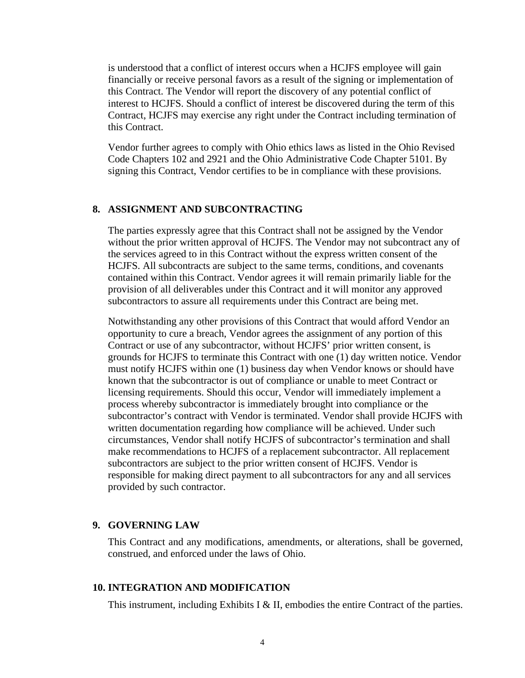is understood that a conflict of interest occurs when a HCJFS employee will gain financially or receive personal favors as a result of the signing or implementation of this Contract. The Vendor will report the discovery of any potential conflict of interest to HCJFS. Should a conflict of interest be discovered during the term of this Contract, HCJFS may exercise any right under the Contract including termination of this Contract.

Vendor further agrees to comply with Ohio ethics laws as listed in the Ohio Revised Code Chapters 102 and 2921 and the Ohio Administrative Code Chapter 5101. By signing this Contract, Vendor certifies to be in compliance with these provisions.

#### **8. ASSIGNMENT AND SUBCONTRACTING**

The parties expressly agree that this Contract shall not be assigned by the Vendor without the prior written approval of HCJFS. The Vendor may not subcontract any of the services agreed to in this Contract without the express written consent of the HCJFS. All subcontracts are subject to the same terms, conditions, and covenants contained within this Contract. Vendor agrees it will remain primarily liable for the provision of all deliverables under this Contract and it will monitor any approved subcontractors to assure all requirements under this Contract are being met.

Notwithstanding any other provisions of this Contract that would afford Vendor an opportunity to cure a breach, Vendor agrees the assignment of any portion of this Contract or use of any subcontractor, without HCJFS' prior written consent, is grounds for HCJFS to terminate this Contract with one (1) day written notice. Vendor must notify HCJFS within one (1) business day when Vendor knows or should have known that the subcontractor is out of compliance or unable to meet Contract or licensing requirements. Should this occur, Vendor will immediately implement a process whereby subcontractor is immediately brought into compliance or the subcontractor's contract with Vendor is terminated. Vendor shall provide HCJFS with written documentation regarding how compliance will be achieved. Under such circumstances, Vendor shall notify HCJFS of subcontractor's termination and shall make recommendations to HCJFS of a replacement subcontractor. All replacement subcontractors are subject to the prior written consent of HCJFS. Vendor is responsible for making direct payment to all subcontractors for any and all services provided by such contractor.

#### **9. GOVERNING LAW**

This Contract and any modifications, amendments, or alterations, shall be governed, construed, and enforced under the laws of Ohio.

#### **10. INTEGRATION AND MODIFICATION**

This instrument, including Exhibits I & II, embodies the entire Contract of the parties.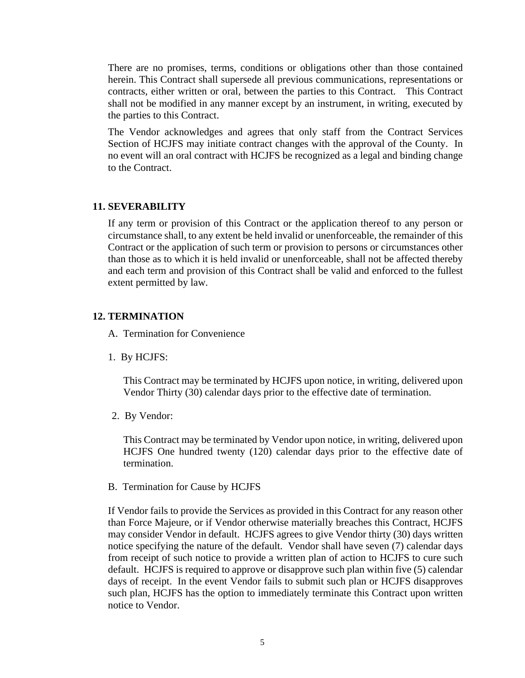There are no promises, terms, conditions or obligations other than those contained herein. This Contract shall supersede all previous communications, representations or contracts, either written or oral, between the parties to this Contract. This Contract shall not be modified in any manner except by an instrument, in writing, executed by the parties to this Contract.

The Vendor acknowledges and agrees that only staff from the Contract Services Section of HCJFS may initiate contract changes with the approval of the County. In no event will an oral contract with HCJFS be recognized as a legal and binding change to the Contract.

#### **11. SEVERABILITY**

If any term or provision of this Contract or the application thereof to any person or circumstance shall, to any extent be held invalid or unenforceable, the remainder of this Contract or the application of such term or provision to persons or circumstances other than those as to which it is held invalid or unenforceable, shall not be affected thereby and each term and provision of this Contract shall be valid and enforced to the fullest extent permitted by law.

#### **12. TERMINATION**

- A. Termination for Convenience
- 1. By HCJFS:

This Contract may be terminated by HCJFS upon notice, in writing, delivered upon Vendor Thirty (30) calendar days prior to the effective date of termination.

2. By Vendor:

This Contract may be terminated by Vendor upon notice, in writing, delivered upon HCJFS One hundred twenty (120) calendar days prior to the effective date of termination.

B. Termination for Cause by HCJFS

If Vendor fails to provide the Services as provided in this Contract for any reason other than Force Majeure, or if Vendor otherwise materially breaches this Contract, HCJFS may consider Vendor in default. HCJFS agrees to give Vendor thirty (30) days written notice specifying the nature of the default. Vendor shall have seven (7) calendar days from receipt of such notice to provide a written plan of action to HCJFS to cure such default. HCJFS is required to approve or disapprove such plan within five (5) calendar days of receipt. In the event Vendor fails to submit such plan or HCJFS disapproves such plan, HCJFS has the option to immediately terminate this Contract upon written notice to Vendor.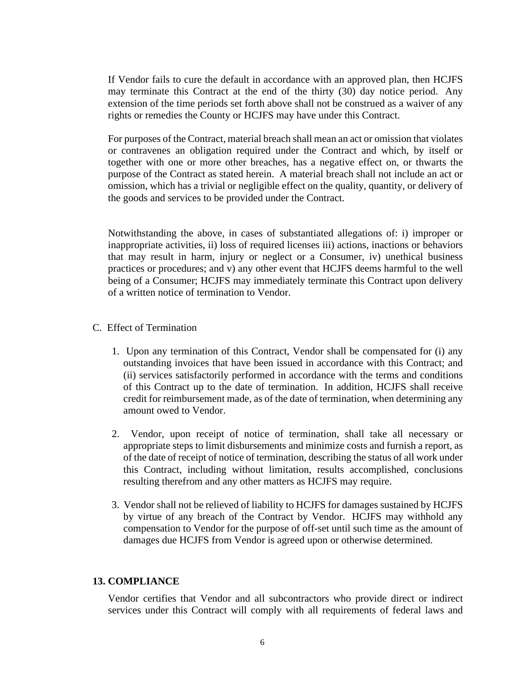If Vendor fails to cure the default in accordance with an approved plan, then HCJFS may terminate this Contract at the end of the thirty (30) day notice period. Any extension of the time periods set forth above shall not be construed as a waiver of any rights or remedies the County or HCJFS may have under this Contract.

For purposes of the Contract, material breach shall mean an act or omission that violates or contravenes an obligation required under the Contract and which, by itself or together with one or more other breaches, has a negative effect on, or thwarts the purpose of the Contract as stated herein. A material breach shall not include an act or omission, which has a trivial or negligible effect on the quality, quantity, or delivery of the goods and services to be provided under the Contract.

Notwithstanding the above, in cases of substantiated allegations of: i) improper or inappropriate activities, ii) loss of required licenses iii) actions, inactions or behaviors that may result in harm, injury or neglect or a Consumer, iv) unethical business practices or procedures; and v) any other event that HCJFS deems harmful to the well being of a Consumer; HCJFS may immediately terminate this Contract upon delivery of a written notice of termination to Vendor.

#### C. Effect of Termination

- 1. Upon any termination of this Contract, Vendor shall be compensated for (i) any outstanding invoices that have been issued in accordance with this Contract; and (ii) services satisfactorily performed in accordance with the terms and conditions of this Contract up to the date of termination. In addition, HCJFS shall receive credit for reimbursement made, as of the date of termination, when determining any amount owed to Vendor.
- 2. Vendor, upon receipt of notice of termination, shall take all necessary or appropriate steps to limit disbursements and minimize costs and furnish a report, as of the date of receipt of notice of termination, describing the status of all work under this Contract, including without limitation, results accomplished, conclusions resulting therefrom and any other matters as HCJFS may require.
- 3. Vendor shall not be relieved of liability to HCJFS for damages sustained by HCJFS by virtue of any breach of the Contract by Vendor. HCJFS may withhold any compensation to Vendor for the purpose of off-set until such time as the amount of damages due HCJFS from Vendor is agreed upon or otherwise determined.

#### **13. COMPLIANCE**

Vendor certifies that Vendor and all subcontractors who provide direct or indirect services under this Contract will comply with all requirements of federal laws and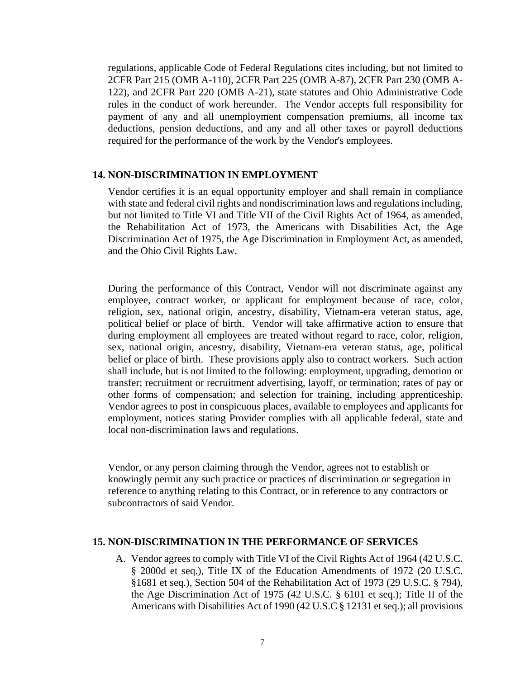regulations, applicable Code of Federal Regulations cites including, but not limited to 2CFR Part 215 (OMB A-110), 2CFR Part 225 (OMB A-87), 2CFR Part 230 (OMB A-122), and 2CFR Part 220 (OMB A-21), state statutes and Ohio Administrative Code rules in the conduct of work hereunder. The Vendor accepts full responsibility for payment of any and all unemployment compensation premiums, all income tax deductions, pension deductions, and any and all other taxes or payroll deductions required for the performance of the work by the Vendor's employees.

#### **14. NON-DISCRIMINATION IN EMPLOYMENT**

Vendor certifies it is an equal opportunity employer and shall remain in compliance with state and federal civil rights and nondiscrimination laws and regulations including, but not limited to Title VI and Title VII of the Civil Rights Act of 1964, as amended, the Rehabilitation Act of 1973, the Americans with Disabilities Act, the Age Discrimination Act of 1975, the Age Discrimination in Employment Act, as amended, and the Ohio Civil Rights Law.

During the performance of this Contract, Vendor will not discriminate against any employee, contract worker, or applicant for employment because of race, color, religion, sex, national origin, ancestry, disability, Vietnam-era veteran status, age, political belief or place of birth. Vendor will take affirmative action to ensure that during employment all employees are treated without regard to race, color, religion, sex, national origin, ancestry, disability, Vietnam-era veteran status, age, political belief or place of birth. These provisions apply also to contract workers. Such action shall include, but is not limited to the following: employment, upgrading, demotion or transfer; recruitment or recruitment advertising, layoff, or termination; rates of pay or other forms of compensation; and selection for training, including apprenticeship. Vendor agrees to post in conspicuous places, available to employees and applicants for employment, notices stating Provider complies with all applicable federal, state and local non-discrimination laws and regulations.

Vendor, or any person claiming through the Vendor, agrees not to establish or knowingly permit any such practice or practices of discrimination or segregation in reference to anything relating to this Contract, or in reference to any contractors or subcontractors of said Vendor.

#### **15. NON-DISCRIMINATION IN THE PERFORMANCE OF SERVICES**

A. Vendor agrees to comply with Title VI of the Civil Rights Act of 1964 (42 U.S.C. § 2000d et seq.), Title IX of the Education Amendments of 1972 (20 U.S.C. §1681 et seq.), Section 504 of the Rehabilitation Act of 1973 (29 U.S.C. § 794), the Age Discrimination Act of 1975 (42 U.S.C. § 6101 et seq.); Title II of the Americans with Disabilities Act of 1990 (42 U.S.C § 12131 et seq.); all provisions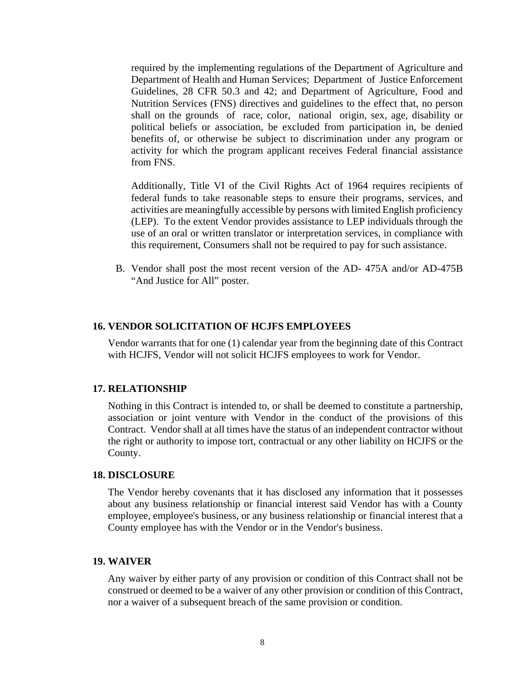required by the implementing regulations of the Department of Agriculture and Department of Health and Human Services; Department of Justice Enforcement Guidelines, 28 CFR 50.3 and 42; and Department of Agriculture, Food and Nutrition Services (FNS) directives and guidelines to the effect that, no person shall on the grounds of race, color, national origin, sex, age, disability or political beliefs or association, be excluded from participation in, be denied benefits of, or otherwise be subject to discrimination under any program or activity for which the program applicant receives Federal financial assistance from FNS.

Additionally, Title VI of the Civil Rights Act of 1964 requires recipients of federal funds to take reasonable steps to ensure their programs, services, and activities are meaningfully accessible by persons with limited English proficiency (LEP). To the extent Vendor provides assistance to LEP individuals through the use of an oral or written translator or interpretation services, in compliance with this requirement, Consumers shall not be required to pay for such assistance.

B. Vendor shall post the most recent version of the AD- 475A and/or AD-475B "And Justice for All" poster.

#### **16. VENDOR SOLICITATION OF HCJFS EMPLOYEES**

Vendor warrants that for one (1) calendar year from the beginning date of this Contract with HCJFS, Vendor will not solicit HCJFS employees to work for Vendor.

#### **17. RELATIONSHIP**

Nothing in this Contract is intended to, or shall be deemed to constitute a partnership, association or joint venture with Vendor in the conduct of the provisions of this Contract. Vendor shall at all times have the status of an independent contractor without the right or authority to impose tort, contractual or any other liability on HCJFS or the County.

#### **18. DISCLOSURE**

The Vendor hereby covenants that it has disclosed any information that it possesses about any business relationship or financial interest said Vendor has with a County employee, employee's business, or any business relationship or financial interest that a County employee has with the Vendor or in the Vendor's business.

#### **19. WAIVER**

Any waiver by either party of any provision or condition of this Contract shall not be construed or deemed to be a waiver of any other provision or condition of this Contract, nor a waiver of a subsequent breach of the same provision or condition.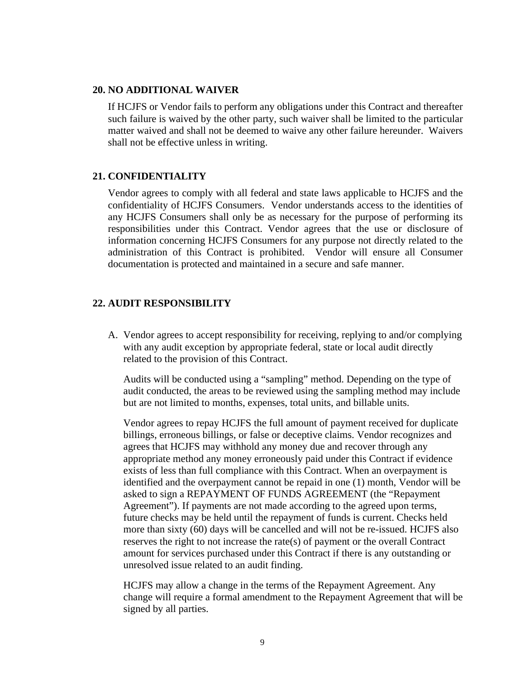#### **20. NO ADDITIONAL WAIVER**

If HCJFS or Vendor fails to perform any obligations under this Contract and thereafter such failure is waived by the other party, such waiver shall be limited to the particular matter waived and shall not be deemed to waive any other failure hereunder. Waivers shall not be effective unless in writing.

#### **21. CONFIDENTIALITY**

Vendor agrees to comply with all federal and state laws applicable to HCJFS and the confidentiality of HCJFS Consumers. Vendor understands access to the identities of any HCJFS Consumers shall only be as necessary for the purpose of performing its responsibilities under this Contract. Vendor agrees that the use or disclosure of information concerning HCJFS Consumers for any purpose not directly related to the administration of this Contract is prohibited. Vendor will ensure all Consumer documentation is protected and maintained in a secure and safe manner.

#### **22. AUDIT RESPONSIBILITY**

 A. Vendor agrees to accept responsibility for receiving, replying to and/or complying with any audit exception by appropriate federal, state or local audit directly related to the provision of this Contract.

Audits will be conducted using a "sampling" method. Depending on the type of audit conducted, the areas to be reviewed using the sampling method may include but are not limited to months, expenses, total units, and billable units.

Vendor agrees to repay HCJFS the full amount of payment received for duplicate billings, erroneous billings, or false or deceptive claims. Vendor recognizes and agrees that HCJFS may withhold any money due and recover through any appropriate method any money erroneously paid under this Contract if evidence exists of less than full compliance with this Contract. When an overpayment is identified and the overpayment cannot be repaid in one (1) month, Vendor will be asked to sign a REPAYMENT OF FUNDS AGREEMENT (the "Repayment Agreement"). If payments are not made according to the agreed upon terms, future checks may be held until the repayment of funds is current. Checks held more than sixty (60) days will be cancelled and will not be re-issued. HCJFS also reserves the right to not increase the rate(s) of payment or the overall Contract amount for services purchased under this Contract if there is any outstanding or unresolved issue related to an audit finding.

HCJFS may allow a change in the terms of the Repayment Agreement. Any change will require a formal amendment to the Repayment Agreement that will be signed by all parties.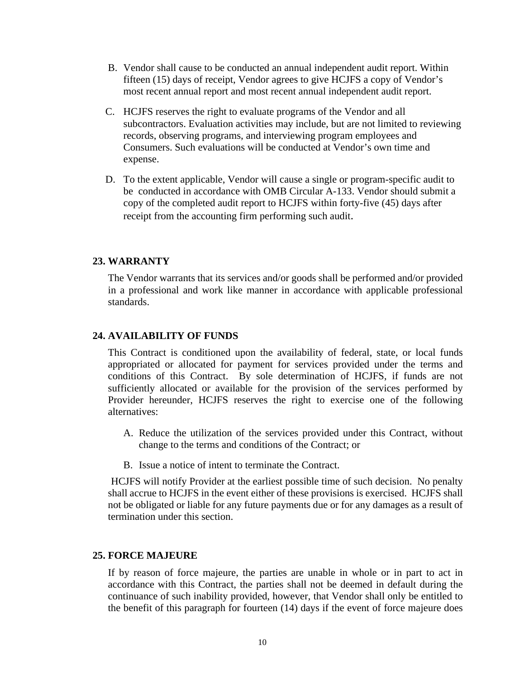- B. Vendor shall cause to be conducted an annual independent audit report. Within fifteen (15) days of receipt, Vendor agrees to give HCJFS a copy of Vendor's most recent annual report and most recent annual independent audit report.
- C. HCJFS reserves the right to evaluate programs of the Vendor and all subcontractors. Evaluation activities may include, but are not limited to reviewing records, observing programs, and interviewing program employees and Consumers. Such evaluations will be conducted at Vendor's own time and expense.
- D. To the extent applicable, Vendor will cause a single or program-specific audit to be conducted in accordance with OMB Circular A-133. Vendor should submit a copy of the completed audit report to HCJFS within forty-five (45) days after receipt from the accounting firm performing such audit.

#### **23. WARRANTY**

The Vendor warrants that its services and/or goods shall be performed and/or provided in a professional and work like manner in accordance with applicable professional standards.

#### **24. AVAILABILITY OF FUNDS**

This Contract is conditioned upon the availability of federal, state, or local funds appropriated or allocated for payment for services provided under the terms and conditions of this Contract. By sole determination of HCJFS, if funds are not sufficiently allocated or available for the provision of the services performed by Provider hereunder, HCJFS reserves the right to exercise one of the following alternatives:

- A. Reduce the utilization of the services provided under this Contract, without change to the terms and conditions of the Contract; or
- B. Issue a notice of intent to terminate the Contract.

HCJFS will notify Provider at the earliest possible time of such decision. No penalty shall accrue to HCJFS in the event either of these provisions is exercised. HCJFS shall not be obligated or liable for any future payments due or for any damages as a result of termination under this section.

#### **25. FORCE MAJEURE**

If by reason of force majeure, the parties are unable in whole or in part to act in accordance with this Contract, the parties shall not be deemed in default during the continuance of such inability provided, however, that Vendor shall only be entitled to the benefit of this paragraph for fourteen (14) days if the event of force majeure does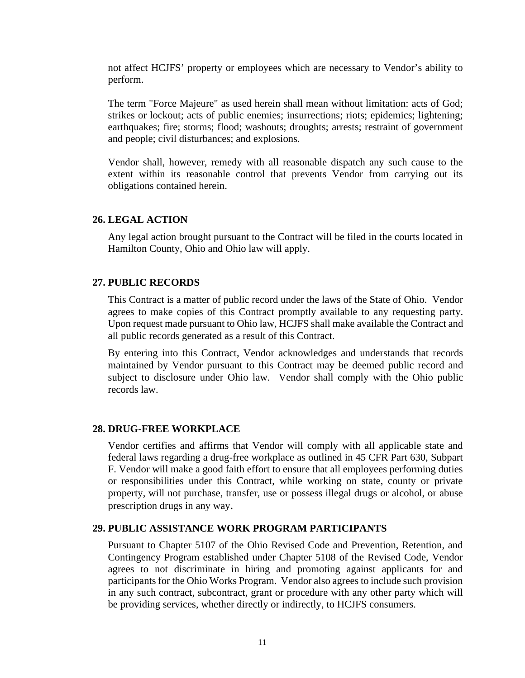not affect HCJFS' property or employees which are necessary to Vendor's ability to perform.

The term "Force Majeure" as used herein shall mean without limitation: acts of God; strikes or lockout; acts of public enemies; insurrections; riots; epidemics; lightening; earthquakes; fire; storms; flood; washouts; droughts; arrests; restraint of government and people; civil disturbances; and explosions.

Vendor shall, however, remedy with all reasonable dispatch any such cause to the extent within its reasonable control that prevents Vendor from carrying out its obligations contained herein.

#### **26. LEGAL ACTION**

Any legal action brought pursuant to the Contract will be filed in the courts located in Hamilton County, Ohio and Ohio law will apply.

#### **27. PUBLIC RECORDS**

This Contract is a matter of public record under the laws of the State of Ohio. Vendor agrees to make copies of this Contract promptly available to any requesting party. Upon request made pursuant to Ohio law, HCJFS shall make available the Contract and all public records generated as a result of this Contract.

By entering into this Contract, Vendor acknowledges and understands that records maintained by Vendor pursuant to this Contract may be deemed public record and subject to disclosure under Ohio law. Vendor shall comply with the Ohio public records law.

#### **28. DRUG-FREE WORKPLACE**

Vendor certifies and affirms that Vendor will comply with all applicable state and federal laws regarding a drug-free workplace as outlined in 45 CFR Part 630, Subpart F. Vendor will make a good faith effort to ensure that all employees performing duties or responsibilities under this Contract, while working on state, county or private property, will not purchase, transfer, use or possess illegal drugs or alcohol, or abuse prescription drugs in any way.

#### **29. PUBLIC ASSISTANCE WORK PROGRAM PARTICIPANTS**

Pursuant to Chapter 5107 of the Ohio Revised Code and Prevention, Retention, and Contingency Program established under Chapter 5108 of the Revised Code, Vendor agrees to not discriminate in hiring and promoting against applicants for and participants for the Ohio Works Program. Vendor also agrees to include such provision in any such contract, subcontract, grant or procedure with any other party which will be providing services, whether directly or indirectly, to HCJFS consumers.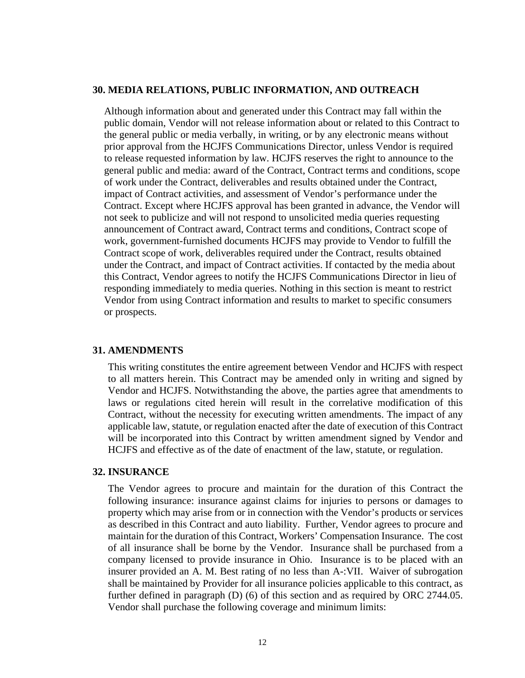#### **30. MEDIA RELATIONS, PUBLIC INFORMATION, AND OUTREACH**

Although information about and generated under this Contract may fall within the public domain, Vendor will not release information about or related to this Contract to the general public or media verbally, in writing, or by any electronic means without prior approval from the HCJFS Communications Director, unless Vendor is required to release requested information by law. HCJFS reserves the right to announce to the general public and media: award of the Contract, Contract terms and conditions, scope of work under the Contract, deliverables and results obtained under the Contract, impact of Contract activities, and assessment of Vendor's performance under the Contract. Except where HCJFS approval has been granted in advance, the Vendor will not seek to publicize and will not respond to unsolicited media queries requesting announcement of Contract award, Contract terms and conditions, Contract scope of work, government-furnished documents HCJFS may provide to Vendor to fulfill the Contract scope of work, deliverables required under the Contract, results obtained under the Contract, and impact of Contract activities. If contacted by the media about this Contract, Vendor agrees to notify the HCJFS Communications Director in lieu of responding immediately to media queries. Nothing in this section is meant to restrict Vendor from using Contract information and results to market to specific consumers or prospects.

#### **31. AMENDMENTS**

This writing constitutes the entire agreement between Vendor and HCJFS with respect to all matters herein. This Contract may be amended only in writing and signed by Vendor and HCJFS. Notwithstanding the above, the parties agree that amendments to laws or regulations cited herein will result in the correlative modification of this Contract, without the necessity for executing written amendments. The impact of any applicable law, statute, or regulation enacted after the date of execution of this Contract will be incorporated into this Contract by written amendment signed by Vendor and HCJFS and effective as of the date of enactment of the law, statute, or regulation.

#### **32. INSURANCE**

The Vendor agrees to procure and maintain for the duration of this Contract the following insurance: insurance against claims for injuries to persons or damages to property which may arise from or in connection with the Vendor's products or services as described in this Contract and auto liability. Further, Vendor agrees to procure and maintain for the duration of this Contract, Workers' Compensation Insurance. The cost of all insurance shall be borne by the Vendor. Insurance shall be purchased from a company licensed to provide insurance in Ohio. Insurance is to be placed with an insurer provided an A. M. Best rating of no less than A-:VII. Waiver of subrogation shall be maintained by Provider for all insurance policies applicable to this contract, as further defined in paragraph (D) (6) of this section and as required by ORC 2744.05. Vendor shall purchase the following coverage and minimum limits: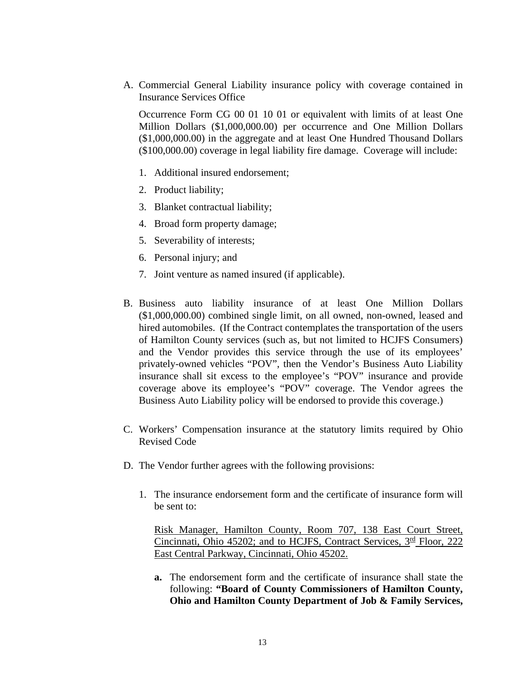A. Commercial General Liability insurance policy with coverage contained in Insurance Services Office

Occurrence Form CG 00 01 10 01 or equivalent with limits of at least One Million Dollars (\$1,000,000.00) per occurrence and One Million Dollars (\$1,000,000.00) in the aggregate and at least One Hundred Thousand Dollars (\$100,000.00) coverage in legal liability fire damage. Coverage will include:

- 1. Additional insured endorsement;
- 2. Product liability;
- 3. Blanket contractual liability;
- 4. Broad form property damage;
- 5. Severability of interests;
- 6. Personal injury; and
- 7. Joint venture as named insured (if applicable).
- B. Business auto liability insurance of at least One Million Dollars (\$1,000,000.00) combined single limit, on all owned, non-owned, leased and hired automobiles. (If the Contract contemplates the transportation of the users of Hamilton County services (such as, but not limited to HCJFS Consumers) and the Vendor provides this service through the use of its employees' privately-owned vehicles "POV", then the Vendor's Business Auto Liability insurance shall sit excess to the employee's "POV" insurance and provide coverage above its employee's "POV" coverage. The Vendor agrees the Business Auto Liability policy will be endorsed to provide this coverage.)
- C. Workers' Compensation insurance at the statutory limits required by Ohio Revised Code
- D. The Vendor further agrees with the following provisions:
	- 1. The insurance endorsement form and the certificate of insurance form will be sent to:

Risk Manager, Hamilton County, Room 707, 138 East Court Street, Cincinnati, Ohio 45202; and to HCJFS, Contract Services,  $3<sup>rd</sup>$  Floor, 222 East Central Parkway, Cincinnati, Ohio 45202.

**a.** The endorsement form and the certificate of insurance shall state the following: **"Board of County Commissioners of Hamilton County, Ohio and Hamilton County Department of Job & Family Services,**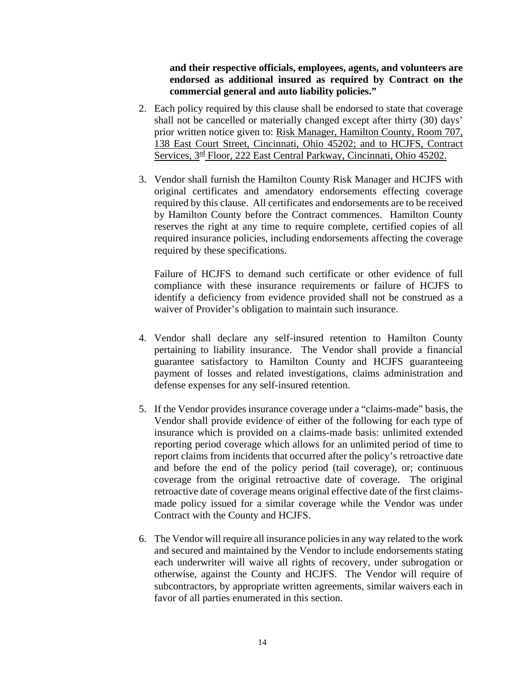**and their respective officials, employees, agents, and volunteers are endorsed as additional insured as required by Contract on the commercial general and auto liability policies."**

- 2. Each policy required by this clause shall be endorsed to state that coverage shall not be cancelled or materially changed except after thirty (30) days' prior written notice given to: Risk Manager, Hamilton County, Room 707, 138 East Court Street, Cincinnati, Ohio 45202; and to HCJFS, Contract Services,  $3<sup>rd</sup>$  Floor, 222 East Central Parkway, Cincinnati, Ohio 45202.
- 3. Vendor shall furnish the Hamilton County Risk Manager and HCJFS with original certificates and amendatory endorsements effecting coverage required by this clause. All certificates and endorsements are to be received by Hamilton County before the Contract commences. Hamilton County reserves the right at any time to require complete, certified copies of all required insurance policies, including endorsements affecting the coverage required by these specifications.

Failure of HCJFS to demand such certificate or other evidence of full compliance with these insurance requirements or failure of HCJFS to identify a deficiency from evidence provided shall not be construed as a waiver of Provider's obligation to maintain such insurance.

- 4. Vendor shall declare any self-insured retention to Hamilton County pertaining to liability insurance. The Vendor shall provide a financial guarantee satisfactory to Hamilton County and HCJFS guaranteeing payment of losses and related investigations, claims administration and defense expenses for any self-insured retention.
- 5. If the Vendor provides insurance coverage under a "claims-made" basis, the Vendor shall provide evidence of either of the following for each type of insurance which is provided on a claims-made basis: unlimited extended reporting period coverage which allows for an unlimited period of time to report claims from incidents that occurred after the policy's retroactive date and before the end of the policy period (tail coverage), or; continuous coverage from the original retroactive date of coverage. The original retroactive date of coverage means original effective date of the first claimsmade policy issued for a similar coverage while the Vendor was under Contract with the County and HCJFS.
- 6. The Vendor will require all insurance policies in any way related to the work and secured and maintained by the Vendor to include endorsements stating each underwriter will waive all rights of recovery, under subrogation or otherwise, against the County and HCJFS. The Vendor will require of subcontractors, by appropriate written agreements, similar waivers each in favor of all parties enumerated in this section.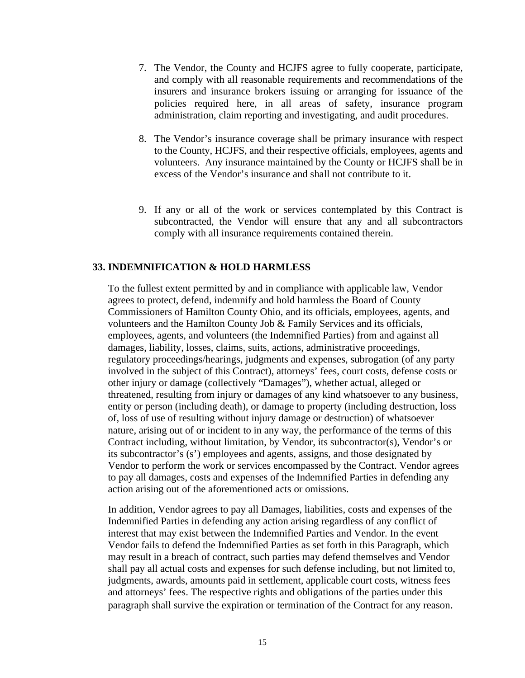- 7. The Vendor, the County and HCJFS agree to fully cooperate, participate, and comply with all reasonable requirements and recommendations of the insurers and insurance brokers issuing or arranging for issuance of the policies required here, in all areas of safety, insurance program administration, claim reporting and investigating, and audit procedures.
- 8. The Vendor's insurance coverage shall be primary insurance with respect to the County, HCJFS, and their respective officials, employees, agents and volunteers. Any insurance maintained by the County or HCJFS shall be in excess of the Vendor's insurance and shall not contribute to it.
- 9. If any or all of the work or services contemplated by this Contract is subcontracted, the Vendor will ensure that any and all subcontractors comply with all insurance requirements contained therein.

#### **33. INDEMNIFICATION & HOLD HARMLESS**

To the fullest extent permitted by and in compliance with applicable law, Vendor agrees to protect, defend, indemnify and hold harmless the Board of County Commissioners of Hamilton County Ohio, and its officials, employees, agents, and volunteers and the Hamilton County Job & Family Services and its officials, employees, agents, and volunteers (the Indemnified Parties) from and against all damages, liability, losses, claims, suits, actions, administrative proceedings, regulatory proceedings/hearings, judgments and expenses, subrogation (of any party involved in the subject of this Contract), attorneys' fees, court costs, defense costs or other injury or damage (collectively "Damages"), whether actual, alleged or threatened, resulting from injury or damages of any kind whatsoever to any business, entity or person (including death), or damage to property (including destruction, loss of, loss of use of resulting without injury damage or destruction) of whatsoever nature, arising out of or incident to in any way, the performance of the terms of this Contract including, without limitation, by Vendor, its subcontractor(s), Vendor's or its subcontractor's (s') employees and agents, assigns, and those designated by Vendor to perform the work or services encompassed by the Contract. Vendor agrees to pay all damages, costs and expenses of the Indemnified Parties in defending any action arising out of the aforementioned acts or omissions.

In addition, Vendor agrees to pay all Damages, liabilities, costs and expenses of the Indemnified Parties in defending any action arising regardless of any conflict of interest that may exist between the Indemnified Parties and Vendor. In the event Vendor fails to defend the Indemnified Parties as set forth in this Paragraph, which may result in a breach of contract, such parties may defend themselves and Vendor shall pay all actual costs and expenses for such defense including, but not limited to, judgments, awards, amounts paid in settlement, applicable court costs, witness fees and attorneys' fees. The respective rights and obligations of the parties under this paragraph shall survive the expiration or termination of the Contract for any reason.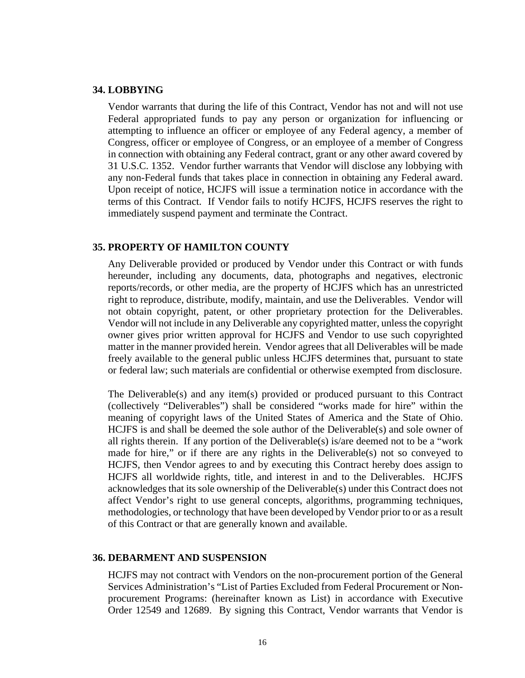#### **34. LOBBYING**

Vendor warrants that during the life of this Contract, Vendor has not and will not use Federal appropriated funds to pay any person or organization for influencing or attempting to influence an officer or employee of any Federal agency, a member of Congress, officer or employee of Congress, or an employee of a member of Congress in connection with obtaining any Federal contract, grant or any other award covered by 31 U.S.C. 1352. Vendor further warrants that Vendor will disclose any lobbying with any non-Federal funds that takes place in connection in obtaining any Federal award. Upon receipt of notice, HCJFS will issue a termination notice in accordance with the terms of this Contract. If Vendor fails to notify HCJFS, HCJFS reserves the right to immediately suspend payment and terminate the Contract.

#### **35. PROPERTY OF HAMILTON COUNTY**

Any Deliverable provided or produced by Vendor under this Contract or with funds hereunder, including any documents, data, photographs and negatives, electronic reports/records, or other media, are the property of HCJFS which has an unrestricted right to reproduce, distribute, modify, maintain, and use the Deliverables. Vendor will not obtain copyright, patent, or other proprietary protection for the Deliverables. Vendor will not include in any Deliverable any copyrighted matter, unless the copyright owner gives prior written approval for HCJFS and Vendor to use such copyrighted matter in the manner provided herein. Vendor agrees that all Deliverables will be made freely available to the general public unless HCJFS determines that, pursuant to state or federal law; such materials are confidential or otherwise exempted from disclosure.

The Deliverable(s) and any item(s) provided or produced pursuant to this Contract (collectively "Deliverables") shall be considered "works made for hire" within the meaning of copyright laws of the United States of America and the State of Ohio. HCJFS is and shall be deemed the sole author of the Deliverable(s) and sole owner of all rights therein. If any portion of the Deliverable(s) is/are deemed not to be a "work made for hire," or if there are any rights in the Deliverable(s) not so conveyed to HCJFS, then Vendor agrees to and by executing this Contract hereby does assign to HCJFS all worldwide rights, title, and interest in and to the Deliverables. HCJFS acknowledges that its sole ownership of the Deliverable(s) under this Contract does not affect Vendor's right to use general concepts, algorithms, programming techniques, methodologies, or technology that have been developed by Vendor prior to or as a result of this Contract or that are generally known and available.

#### **36. DEBARMENT AND SUSPENSION**

HCJFS may not contract with Vendors on the non-procurement portion of the General Services Administration's "List of Parties Excluded from Federal Procurement or Nonprocurement Programs: (hereinafter known as List) in accordance with Executive Order 12549 and 12689. By signing this Contract, Vendor warrants that Vendor is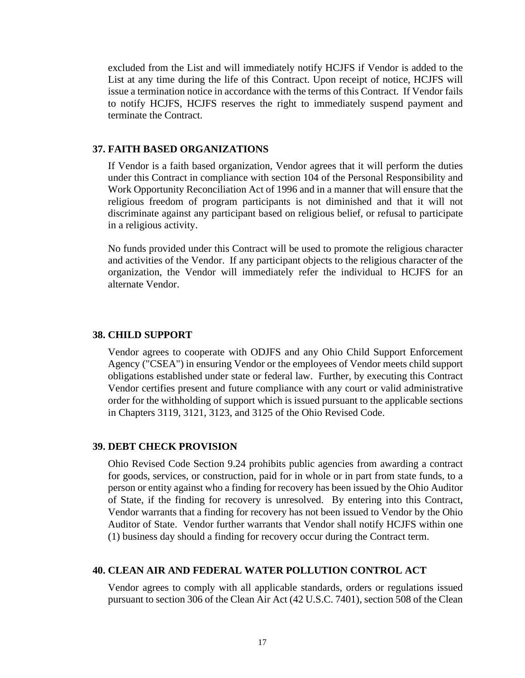excluded from the List and will immediately notify HCJFS if Vendor is added to the List at any time during the life of this Contract. Upon receipt of notice, HCJFS will issue a termination notice in accordance with the terms of this Contract. If Vendor fails to notify HCJFS, HCJFS reserves the right to immediately suspend payment and terminate the Contract.

#### **37. FAITH BASED ORGANIZATIONS**

If Vendor is a faith based organization, Vendor agrees that it will perform the duties under this Contract in compliance with section 104 of the Personal Responsibility and Work Opportunity Reconciliation Act of 1996 and in a manner that will ensure that the religious freedom of program participants is not diminished and that it will not discriminate against any participant based on religious belief, or refusal to participate in a religious activity.

No funds provided under this Contract will be used to promote the religious character and activities of the Vendor. If any participant objects to the religious character of the organization, the Vendor will immediately refer the individual to HCJFS for an alternate Vendor.

#### **38. CHILD SUPPORT**

Vendor agrees to cooperate with ODJFS and any Ohio Child Support Enforcement Agency ("CSEA") in ensuring Vendor or the employees of Vendor meets child support obligations established under state or federal law. Further, by executing this Contract Vendor certifies present and future compliance with any court or valid administrative order for the withholding of support which is issued pursuant to the applicable sections in Chapters 3119, 3121, 3123, and 3125 of the Ohio Revised Code.

#### **39. DEBT CHECK PROVISION**

Ohio Revised Code Section 9.24 prohibits public agencies from awarding a contract for goods, services, or construction, paid for in whole or in part from state funds, to a person or entity against who a finding for recovery has been issued by the Ohio Auditor of State, if the finding for recovery is unresolved. By entering into this Contract, Vendor warrants that a finding for recovery has not been issued to Vendor by the Ohio Auditor of State. Vendor further warrants that Vendor shall notify HCJFS within one (1) business day should a finding for recovery occur during the Contract term.

#### **40. CLEAN AIR AND FEDERAL WATER POLLUTION CONTROL ACT**

Vendor agrees to comply with all applicable standards, orders or regulations issued pursuant to section 306 of the Clean Air Act (42 U.S.C. 7401), section 508 of the Clean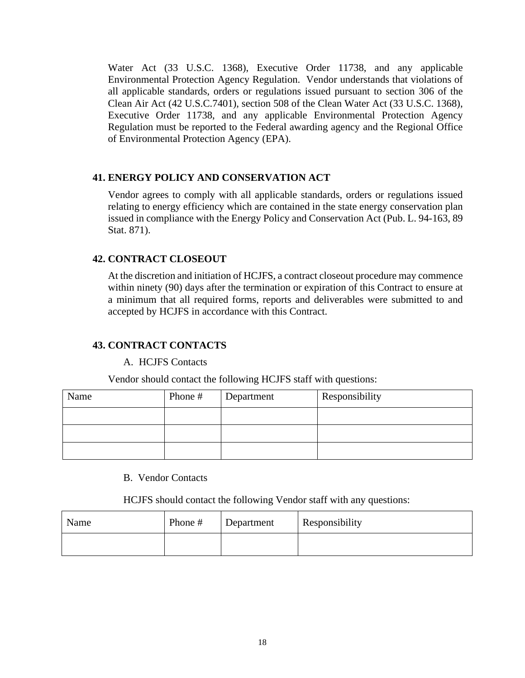Water Act (33 U.S.C. 1368), Executive Order 11738, and any applicable Environmental Protection Agency Regulation. Vendor understands that violations of all applicable standards, orders or regulations issued pursuant to section 306 of the Clean Air Act (42 U.S.C.7401), section 508 of the Clean Water Act (33 U.S.C. 1368), Executive Order 11738, and any applicable Environmental Protection Agency Regulation must be reported to the Federal awarding agency and the Regional Office of Environmental Protection Agency (EPA).

#### **41. ENERGY POLICY AND CONSERVATION ACT**

Vendor agrees to comply with all applicable standards, orders or regulations issued relating to energy efficiency which are contained in the state energy conservation plan issued in compliance with the Energy Policy and Conservation Act (Pub. L. 94-163, 89 Stat. 871).

#### **42. CONTRACT CLOSEOUT**

At the discretion and initiation of HCJFS, a contract closeout procedure may commence within ninety (90) days after the termination or expiration of this Contract to ensure at a minimum that all required forms, reports and deliverables were submitted to and accepted by HCJFS in accordance with this Contract.

#### **43. CONTRACT CONTACTS**

#### A. HCJFS Contacts

Vendor should contact the following HCJFS staff with questions:

| Name | Phone # | Department | Responsibility |
|------|---------|------------|----------------|
|      |         |            |                |
|      |         |            |                |
|      |         |            |                |

#### B. Vendor Contacts

HCJFS should contact the following Vendor staff with any questions:

| Name | Phone # | Department | Responsibility |
|------|---------|------------|----------------|
|      |         |            |                |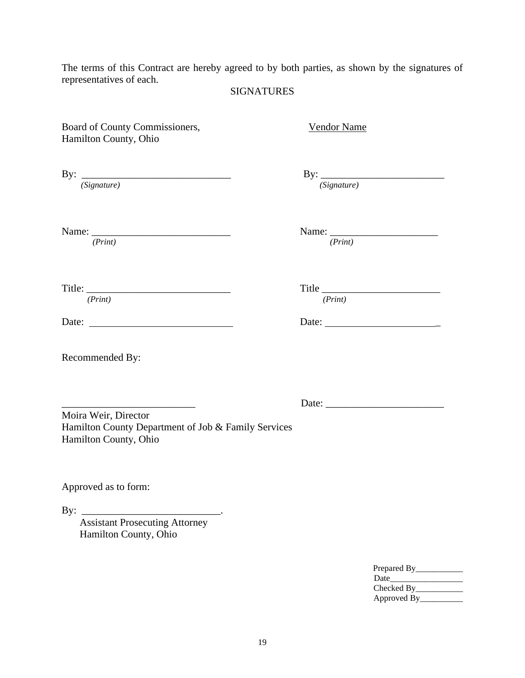The terms of this Contract are hereby agreed to by both parties, as shown by the signatures of representatives of each.

# SIGNATURES

| Board of County Commissioners,<br>Hamilton County, Ohio                                              | <b>Vendor Name</b> |                   |
|------------------------------------------------------------------------------------------------------|--------------------|-------------------|
| By: $\frac{1}{(Sigma + 1)}$                                                                          |                    | By: $(Signature)$ |
| (Print)                                                                                              | (Print)            |                   |
| (Print)                                                                                              | (Print)            |                   |
| Date:                                                                                                |                    |                   |
| Recommended By:                                                                                      |                    |                   |
| Moira Weir, Director<br>Hamilton County Department of Job & Family Services<br>Hamilton County, Ohio |                    |                   |
| Approved as to form:                                                                                 |                    |                   |
| By:<br><b>Assistant Prosecuting Attorney</b><br>Hamilton County, Ohio                                |                    |                   |
|                                                                                                      |                    | Prepared By_      |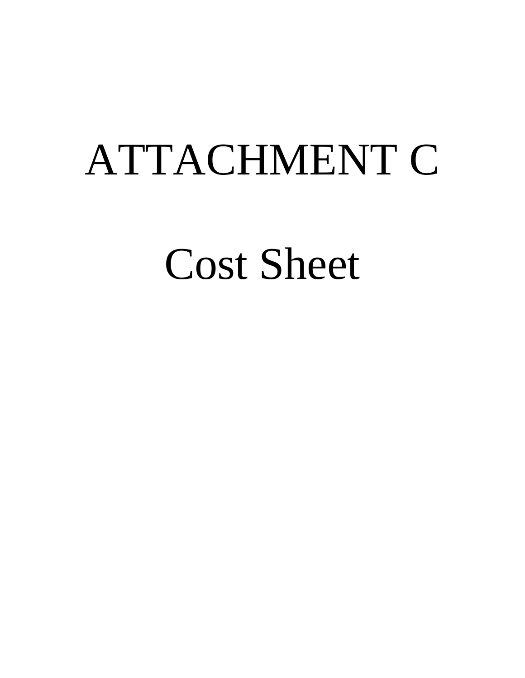# ATTACHMENT C

Cost Sheet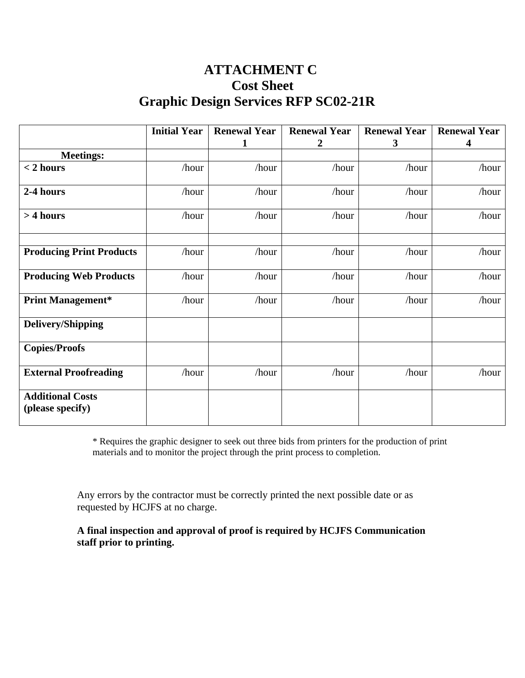# **ATTACHMENT C Cost Sheet Graphic Design Services RFP SC02-21R**

|                                             | <b>Initial Year</b> | <b>Renewal Year</b><br>1 | <b>Renewal Year</b><br>2 | <b>Renewal Year</b><br>$\mathbf{3}$ | <b>Renewal Year</b><br>4 |
|---------------------------------------------|---------------------|--------------------------|--------------------------|-------------------------------------|--------------------------|
| <b>Meetings:</b>                            |                     |                          |                          |                                     |                          |
| $< 2$ hours                                 | /hour               | /hour                    | /hour                    | /hour                               | /hour                    |
|                                             |                     |                          |                          |                                     |                          |
| 2-4 hours                                   | /hour               | /hour                    | /hour                    | /hour                               | /hour                    |
| $> 4$ hours                                 | /hour               | /hour                    | /hour                    | /hour                               | /hour                    |
|                                             |                     |                          |                          |                                     |                          |
| <b>Producing Print Products</b>             | /hour               | /hour                    | /hour                    | /hour                               | /hour                    |
| <b>Producing Web Products</b>               | /hour               | /hour                    | /hour                    | /hour                               | /hour                    |
| <b>Print Management*</b>                    | /hour               | /hour                    | /hour                    | /hour                               | /hour                    |
| <b>Delivery/Shipping</b>                    |                     |                          |                          |                                     |                          |
| <b>Copies/Proofs</b>                        |                     |                          |                          |                                     |                          |
| <b>External Proofreading</b>                | /hour               | /hour                    | /hour                    | /hour                               | /hour                    |
| <b>Additional Costs</b><br>(please specify) |                     |                          |                          |                                     |                          |

\* Requires the graphic designer to seek out three bids from printers for the production of print materials and to monitor the project through the print process to completion.

Any errors by the contractor must be correctly printed the next possible date or as requested by HCJFS at no charge.

**A final inspection and approval of proof is required by HCJFS Communication staff prior to printing.**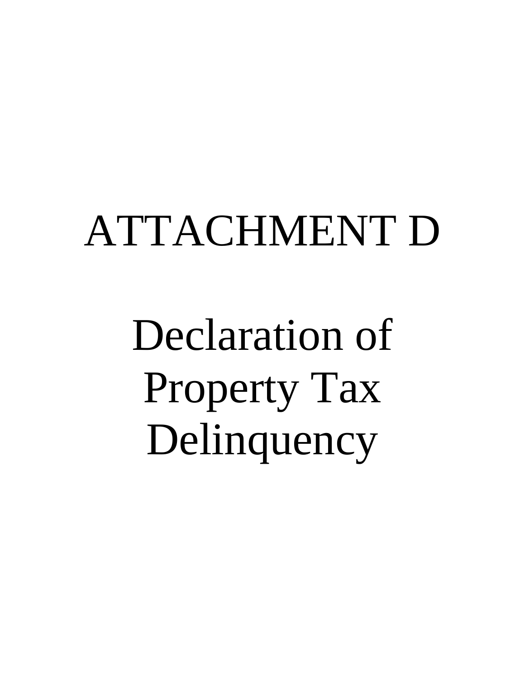# ATTACHMENT D

Declaration of Property Tax Delinquency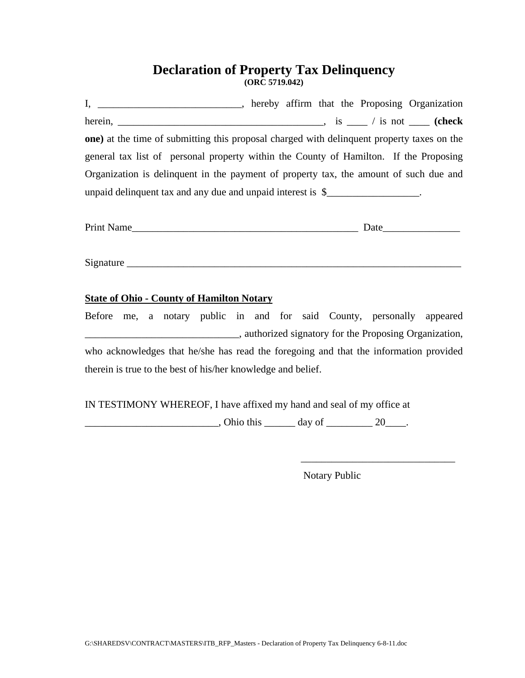# **Declaration of Property Tax Delinquency (ORC 5719.042)**

I, \_\_\_\_\_\_\_\_\_\_\_\_\_\_\_\_\_\_\_\_\_\_, hereby affirm that the Proposing Organization herein, \_\_\_\_\_\_\_\_\_\_\_\_\_\_\_\_\_\_\_\_\_\_\_\_\_\_\_\_\_\_\_\_\_\_\_\_\_\_\_\_, is \_\_\_\_ / is not \_\_\_\_ **(check one)** at the time of submitting this proposal charged with delinquent property taxes on the general tax list of personal property within the County of Hamilton. If the Proposing Organization is delinquent in the payment of property tax, the amount of such due and unpaid delinquent tax and any due and unpaid interest is  $\frac{1}{2}$ 

| <b>Print Name</b> | Date |  |
|-------------------|------|--|
|                   |      |  |

Signature \_\_\_\_\_\_\_\_\_\_\_\_\_\_\_\_\_\_\_\_\_\_\_\_\_\_\_\_\_\_\_\_\_\_\_\_\_\_\_\_\_\_\_\_\_\_\_\_\_\_\_\_\_\_\_\_\_\_\_\_\_\_\_\_\_

#### **State of Ohio - County of Hamilton Notary**

Before me, a notary public in and for said County, personally appeared **Example 2.1** authorized signatory for the Proposing Organization, who acknowledges that he/she has read the foregoing and that the information provided therein is true to the best of his/her knowledge and belief.

IN TESTIMONY WHEREOF, I have affixed my hand and seal of my office at

 $\frac{1}{20}$ , Ohio this  $\frac{1}{20}$  day of  $\frac{20}{20}$ .

Notary Public

\_\_\_\_\_\_\_\_\_\_\_\_\_\_\_\_\_\_\_\_\_\_\_\_\_\_\_\_\_\_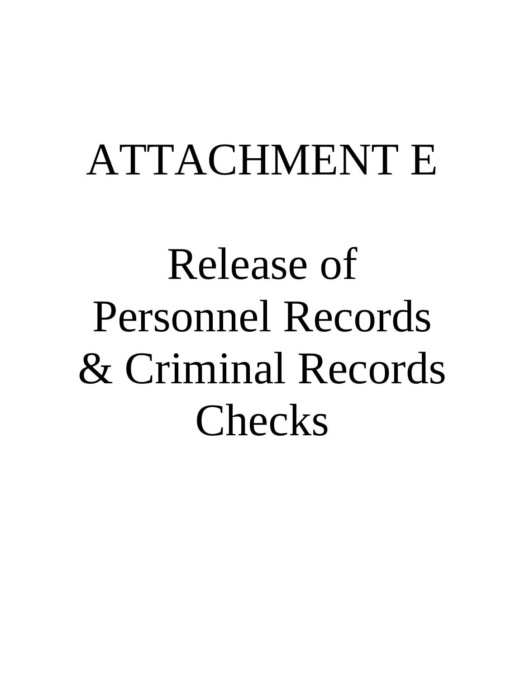# ATTACHMENT E

Release of Personnel Records & Criminal Records Checks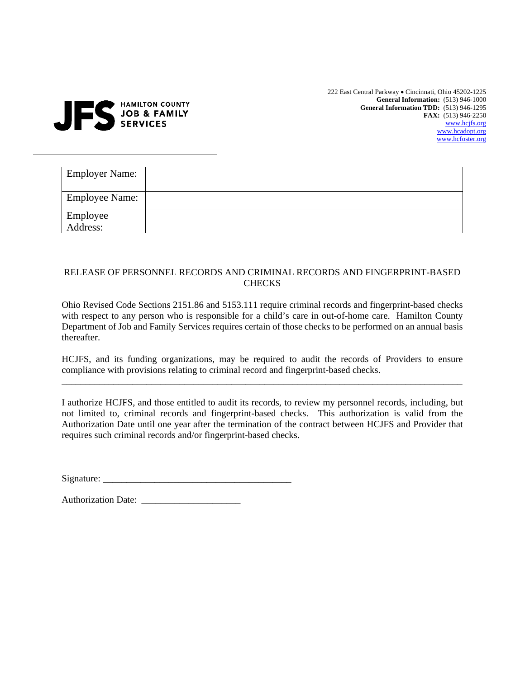# **HAMILTON COUNTY JOB & FAMILY SERVICES**

222 East Central Parkway • Cincinnati, Ohio 45202-1225 **General Information:** (513) 946-1000 **General Information TDD:** (513) 946-1295 **FAX:** (513) 946-2250 [www.hcjfs.org](http://www.hcjfs.hamilton-co.org/) [www.hcadopt.org](http://www.hcadopt.org/) [www.hcfoster.org](http://www.hcfoster.org/)

| <b>Employer Name:</b> |  |
|-----------------------|--|
| <b>Employee Name:</b> |  |
| Employee<br>Address:  |  |

#### RELEASE OF PERSONNEL RECORDS AND CRIMINAL RECORDS AND FINGERPRINT-BASED **CHECKS**

Ohio Revised Code Sections 2151.86 and 5153.111 require criminal records and fingerprint-based checks with respect to any person who is responsible for a child's care in out-of-home care. Hamilton County Department of Job and Family Services requires certain of those checks to be performed on an annual basis thereafter.

HCJFS, and its funding organizations, may be required to audit the records of Providers to ensure compliance with provisions relating to criminal record and fingerprint-based checks. \_\_\_\_\_\_\_\_\_\_\_\_\_\_\_\_\_\_\_\_\_\_\_\_\_\_\_\_\_\_\_\_\_\_\_\_\_\_\_\_\_\_\_\_\_\_\_\_\_\_\_\_\_\_\_\_\_\_\_\_\_\_\_\_\_\_\_\_\_\_\_\_\_\_\_\_\_\_\_\_\_\_\_\_\_

I authorize HCJFS, and those entitled to audit its records, to review my personnel records, including, but not limited to, criminal records and fingerprint-based checks. This authorization is valid from the Authorization Date until one year after the termination of the contract between HCJFS and Provider that requires such criminal records and/or fingerprint-based checks.

| Signature: |  |
|------------|--|
|            |  |

| <b>Authorization Date:</b> |  |
|----------------------------|--|
|----------------------------|--|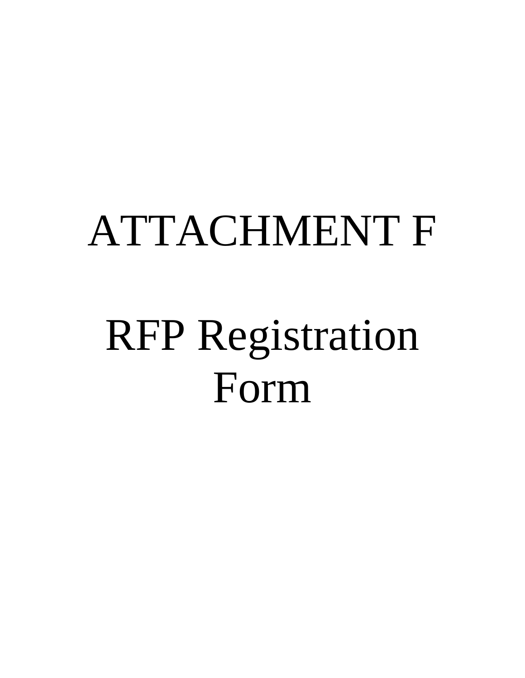# ATTACHMENT F

# RFP Registration Form